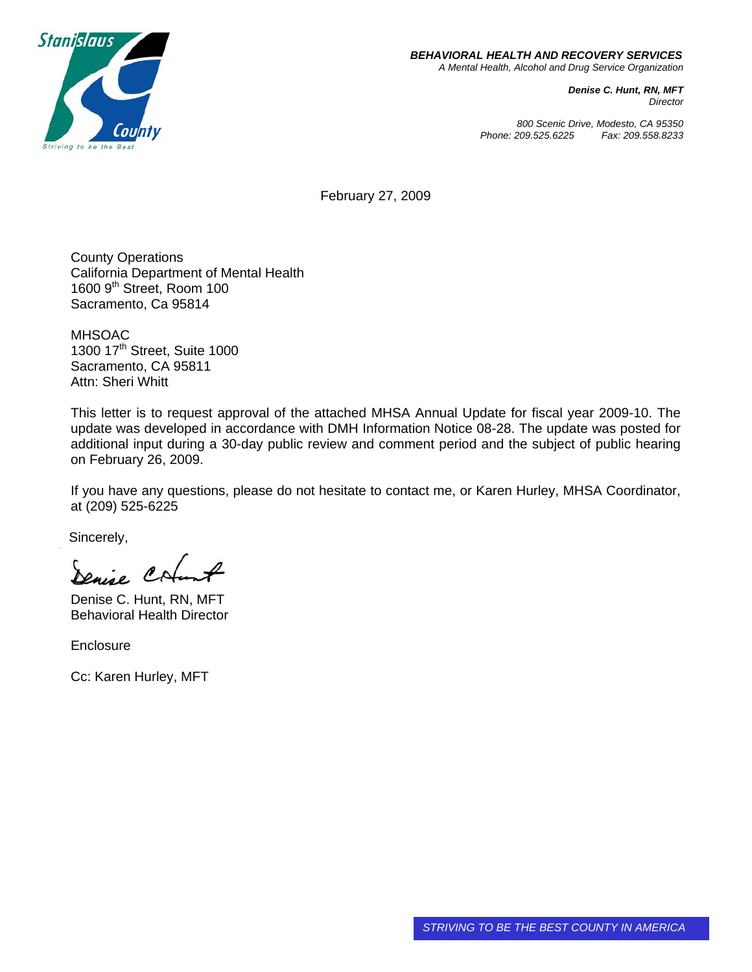

*Denise C. Hunt, RN, MFT Director*

*800 Scenic Drive, Modesto, CA 95350 Phone: 209.525.6225 Fax: 209.558.8233*

February 27, 2009

County Operations California Department of Mental Health 1600 9<sup>th</sup> Street, Room 100 Sacramento, Ca 95814

MHSOAC 1300 17<sup>th</sup> Street, Suite 1000 Sacramento, CA 95811 Attn: Sheri Whitt

This letter is to request approval of the attached MHSA Annual Update for fiscal year 2009-10. The update was developed in accordance with DMH Information Notice 08-28. The update was posted for additional input during a 30-day public review and comment period and the subject of public hearing on February 26, 2009.

If you have any questions, please do not hesitate to contact me, or Karen Hurley, MHSA Coordinator, at (209) 525-6225

Sincerely,

Denise C

Denise C. Hunt, RN, MFT Behavioral Health Director

**Enclosure** 

Cc: Karen Hurley, MFT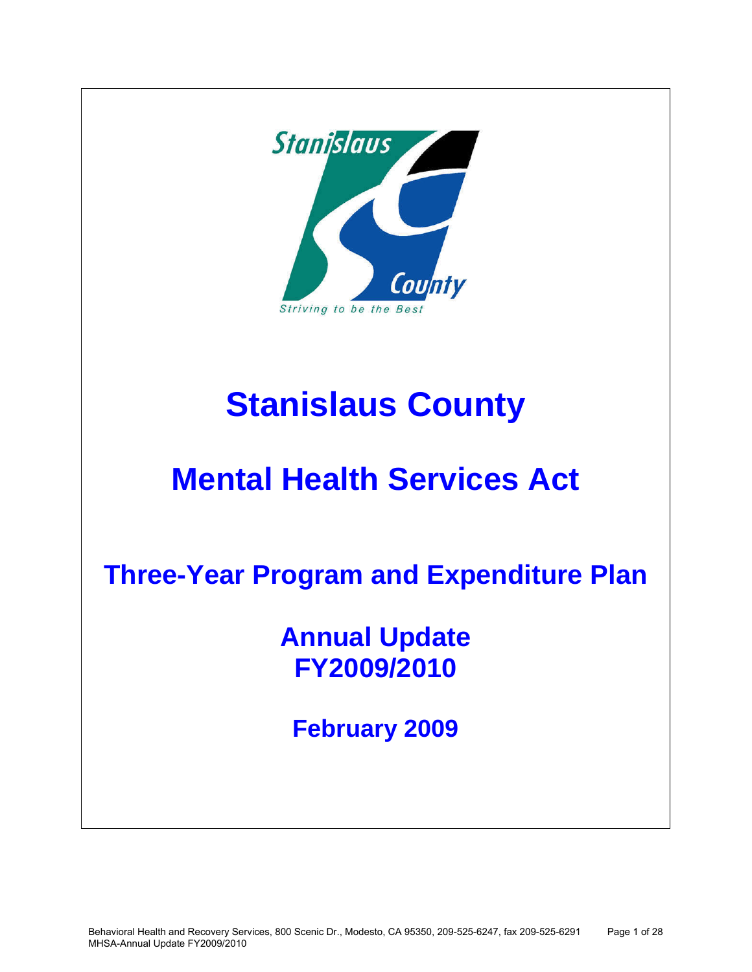

# **Stanislaus County**

# **Mental Health Services Act**

**Three-Year Program and Expenditure Plan** 

**Annual Update FY2009/2010** 

**February 2009**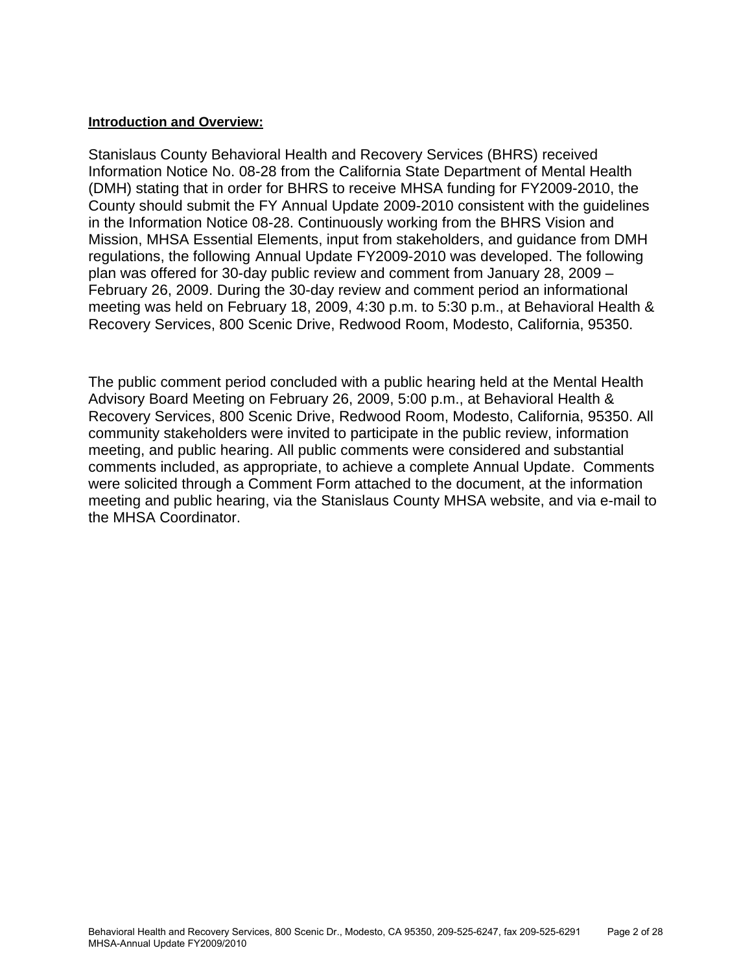## **Introduction and Overview:**

Stanislaus County Behavioral Health and Recovery Services (BHRS) received Information Notice No. 08-28 from the California State Department of Mental Health (DMH) stating that in order for BHRS to receive MHSA funding for FY2009-2010, the County should submit the FY Annual Update 2009-2010 consistent with the guidelines in the Information Notice 08-28. Continuously working from the BHRS Vision and Mission, MHSA Essential Elements, input from stakeholders, and guidance from DMH regulations, the following Annual Update FY2009-2010 was developed. The following plan was offered for 30-day public review and comment from January 28, 2009 – February 26, 2009. During the 30-day review and comment period an informational meeting was held on February 18, 2009, 4:30 p.m. to 5:30 p.m., at Behavioral Health & Recovery Services, 800 Scenic Drive, Redwood Room, Modesto, California, 95350.

The public comment period concluded with a public hearing held at the Mental Health Advisory Board Meeting on February 26, 2009, 5:00 p.m., at Behavioral Health & Recovery Services, 800 Scenic Drive, Redwood Room, Modesto, California, 95350. All community stakeholders were invited to participate in the public review, information meeting, and public hearing. All public comments were considered and substantial comments included, as appropriate, to achieve a complete Annual Update. Comments were solicited through a Comment Form attached to the document, at the information meeting and public hearing, via the Stanislaus County MHSA website, and via e-mail to the MHSA Coordinator.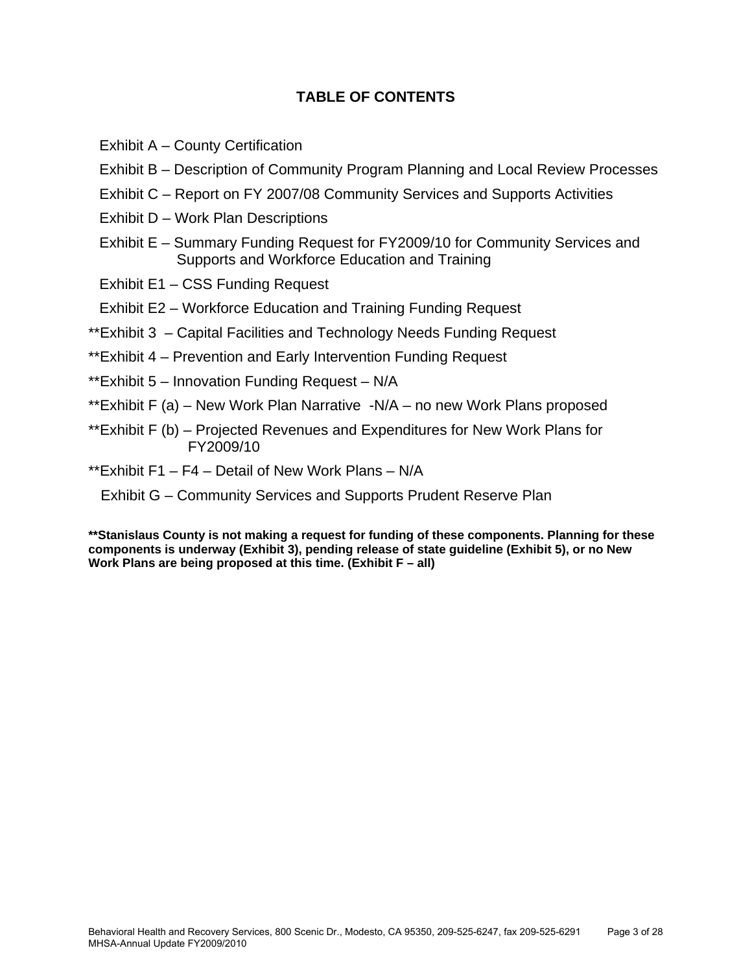# **TABLE OF CONTENTS**

- Exhibit A County Certification
- Exhibit B Description of Community Program Planning and Local Review Processes
- Exhibit C Report on FY 2007/08 Community Services and Supports Activities
- Exhibit D Work Plan Descriptions
- Exhibit E Summary Funding Request for FY2009/10 for Community Services and Supports and Workforce Education and Training
- Exhibit E1 CSS Funding Request
- Exhibit E2 Workforce Education and Training Funding Request
- \*\*Exhibit 3 Capital Facilities and Technology Needs Funding Request
- \*\*Exhibit 4 Prevention and Early Intervention Funding Request
- \*\*Exhibit 5 Innovation Funding Request N/A
- \*\*Exhibit F (a) New Work Plan Narrative -N/A no new Work Plans proposed
- \*\*Exhibit F (b) Projected Revenues and Expenditures for New Work Plans for FY2009/10
- \*\*Exhibit F1 F4 Detail of New Work Plans N/A

Exhibit G – Community Services and Supports Prudent Reserve Plan

**\*\*Stanislaus County is not making a request for funding of these components. Planning for these components is underway (Exhibit 3), pending release of state guideline (Exhibit 5), or no New Work Plans are being proposed at this time. (Exhibit F – all)**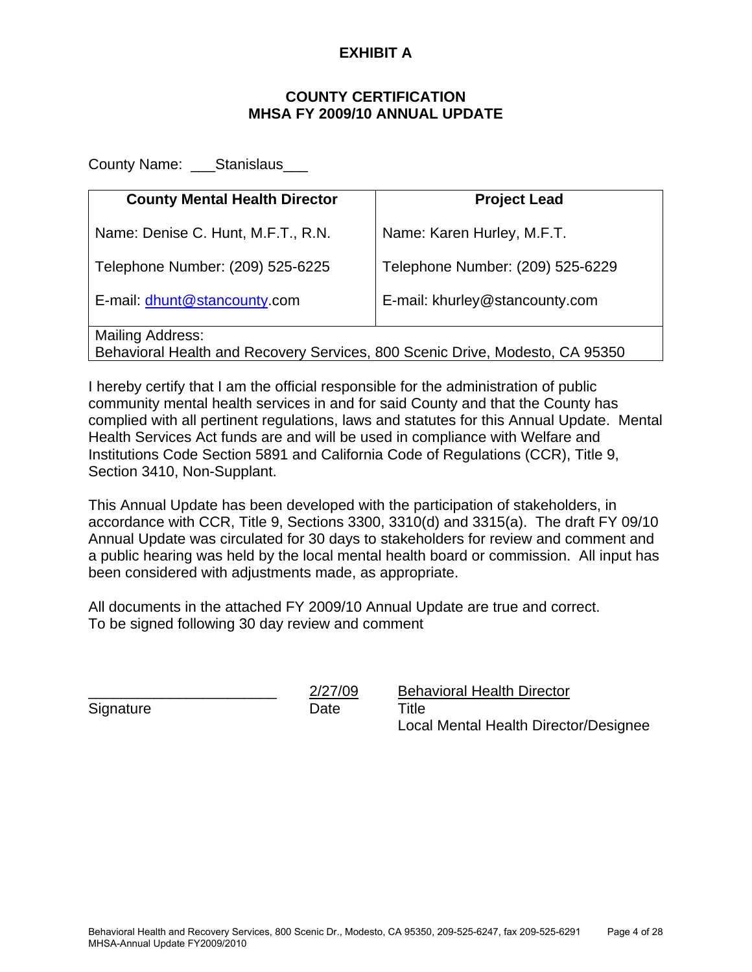# **EXHIBIT A**

# **COUNTY CERTIFICATION MHSA FY 2009/10 ANNUAL UPDATE**

County Name: Stanislaus

| <b>County Mental Health Director</b>                                                                    | <b>Project Lead</b>              |  |  |  |  |  |  |
|---------------------------------------------------------------------------------------------------------|----------------------------------|--|--|--|--|--|--|
| Name: Denise C. Hunt, M.F.T., R.N.                                                                      | Name: Karen Hurley, M.F.T.       |  |  |  |  |  |  |
| Telephone Number: (209) 525-6225                                                                        | Telephone Number: (209) 525-6229 |  |  |  |  |  |  |
| E-mail: dhunt@stancounty.com                                                                            | E-mail: khurley@stancounty.com   |  |  |  |  |  |  |
| <b>Mailing Address:</b><br>Behavioral Health and Recovery Services, 800 Scenic Drive, Modesto, CA 95350 |                                  |  |  |  |  |  |  |

I hereby certify that I am the official responsible for the administration of public community mental health services in and for said County and that the County has complied with all pertinent regulations, laws and statutes for this Annual Update. Mental Health Services Act funds are and will be used in compliance with Welfare and Institutions Code Section 5891 and California Code of Regulations (CCR), Title 9, Section 3410, Non-Supplant.

This Annual Update has been developed with the participation of stakeholders, in accordance with CCR, Title 9, Sections 3300, 3310(d) and 3315(a). The draft FY 09/10 Annual Update was circulated for 30 days to stakeholders for review and comment and a public hearing was held by the local mental health board or commission. All input has been considered with adjustments made, as appropriate.

All documents in the attached FY 2009/10 Annual Update are true and correct. To be signed following 30 day review and comment

Signature Date Date Title

2/27/09 Behavioral Health Director Local Mental Health Director/Designee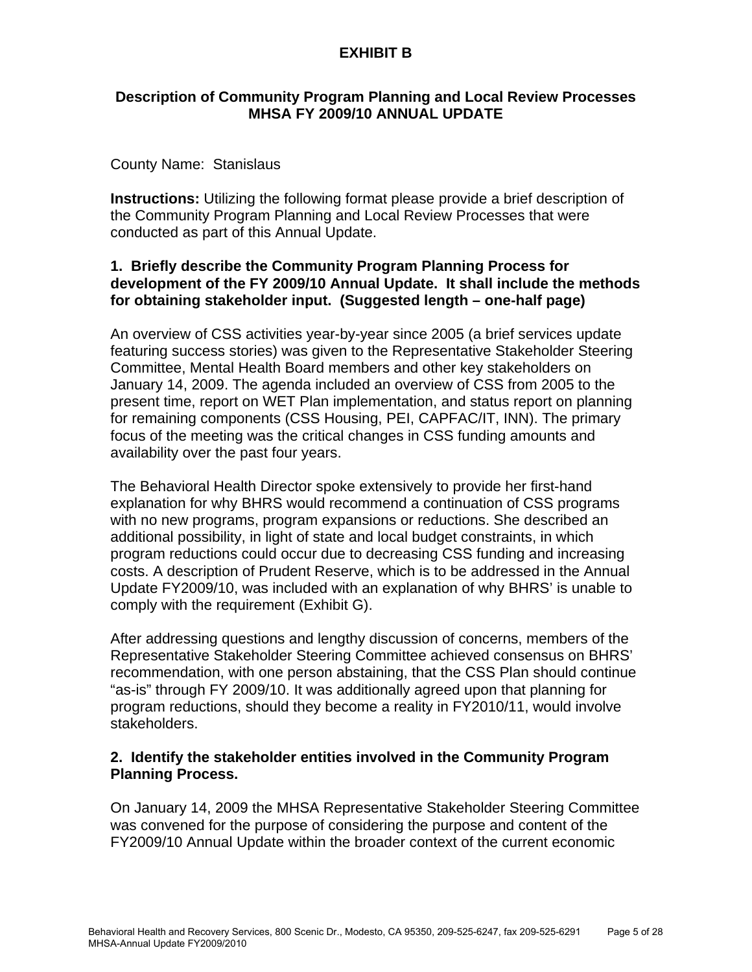# **Description of Community Program Planning and Local Review Processes MHSA FY 2009/10 ANNUAL UPDATE**

# County Name:Stanislaus

**Instructions:** Utilizing the following format please provide a brief description of the Community Program Planning and Local Review Processes that were conducted as part of this Annual Update.

# **1. Briefly describe the Community Program Planning Process for development of the FY 2009/10 Annual Update. It shall include the methods for obtaining stakeholder input. (Suggested length – one-half page)**

An overview of CSS activities year-by-year since 2005 (a brief services update featuring success stories) was given to the Representative Stakeholder Steering Committee, Mental Health Board members and other key stakeholders on January 14, 2009. The agenda included an overview of CSS from 2005 to the present time, report on WET Plan implementation, and status report on planning for remaining components (CSS Housing, PEI, CAPFAC/IT, INN). The primary focus of the meeting was the critical changes in CSS funding amounts and availability over the past four years.

The Behavioral Health Director spoke extensively to provide her first-hand explanation for why BHRS would recommend a continuation of CSS programs with no new programs, program expansions or reductions. She described an additional possibility, in light of state and local budget constraints, in which program reductions could occur due to decreasing CSS funding and increasing costs. A description of Prudent Reserve, which is to be addressed in the Annual Update FY2009/10, was included with an explanation of why BHRS' is unable to comply with the requirement (Exhibit G).

After addressing questions and lengthy discussion of concerns, members of the Representative Stakeholder Steering Committee achieved consensus on BHRS' recommendation, with one person abstaining, that the CSS Plan should continue "as-is" through FY 2009/10. It was additionally agreed upon that planning for program reductions, should they become a reality in FY2010/11, would involve stakeholders.

# **2. Identify the stakeholder entities involved in the Community Program Planning Process.**

On January 14, 2009 the MHSA Representative Stakeholder Steering Committee was convened for the purpose of considering the purpose and content of the FY2009/10 Annual Update within the broader context of the current economic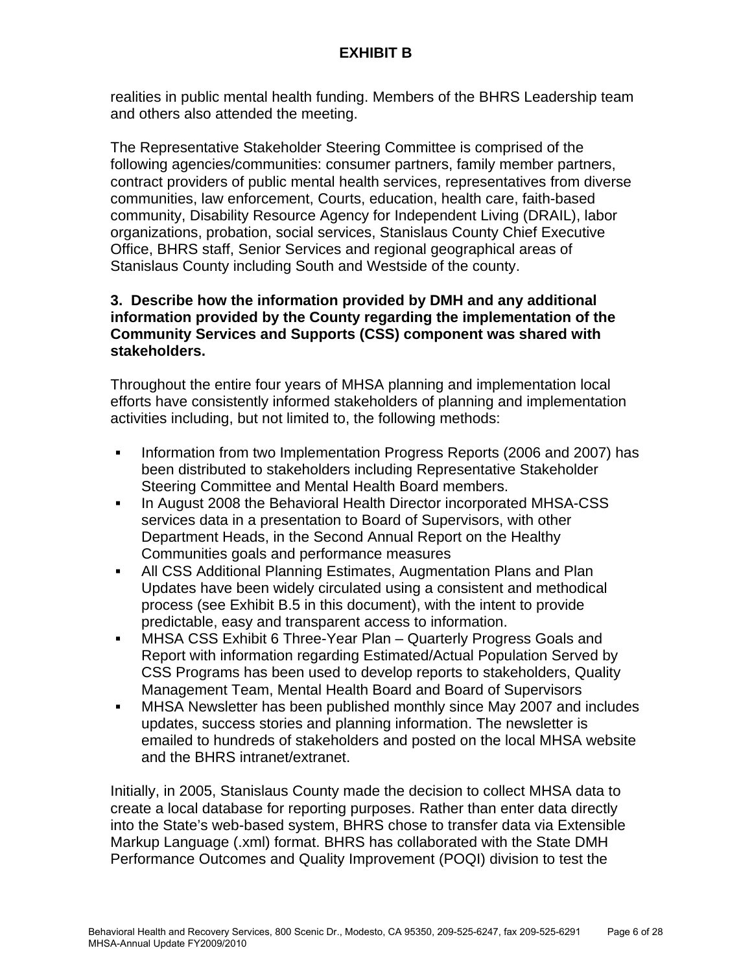realities in public mental health funding. Members of the BHRS Leadership team and others also attended the meeting.

The Representative Stakeholder Steering Committee is comprised of the following agencies/communities: consumer partners, family member partners, contract providers of public mental health services, representatives from diverse communities, law enforcement, Courts, education, health care, faith-based community, Disability Resource Agency for Independent Living (DRAIL), labor organizations, probation, social services, Stanislaus County Chief Executive Office, BHRS staff, Senior Services and regional geographical areas of Stanislaus County including South and Westside of the county.

# **3. Describe how the information provided by DMH and any additional information provided by the County regarding the implementation of the Community Services and Supports (CSS) component was shared with stakeholders.**

Throughout the entire four years of MHSA planning and implementation local efforts have consistently informed stakeholders of planning and implementation activities including, but not limited to, the following methods:

- Information from two Implementation Progress Reports (2006 and 2007) has been distributed to stakeholders including Representative Stakeholder Steering Committee and Mental Health Board members.
- In August 2008 the Behavioral Health Director incorporated MHSA-CSS services data in a presentation to Board of Supervisors, with other Department Heads, in the Second Annual Report on the Healthy Communities goals and performance measures
- All CSS Additional Planning Estimates, Augmentation Plans and Plan Updates have been widely circulated using a consistent and methodical process (see Exhibit B.5 in this document), with the intent to provide predictable, easy and transparent access to information.
- MHSA CSS Exhibit 6 Three-Year Plan Quarterly Progress Goals and Report with information regarding Estimated/Actual Population Served by CSS Programs has been used to develop reports to stakeholders, Quality Management Team, Mental Health Board and Board of Supervisors
- MHSA Newsletter has been published monthly since May 2007 and includes updates, success stories and planning information. The newsletter is emailed to hundreds of stakeholders and posted on the local MHSA website and the BHRS intranet/extranet.

Initially, in 2005, Stanislaus County made the decision to collect MHSA data to create a local database for reporting purposes. Rather than enter data directly into the State's web-based system, BHRS chose to transfer data via Extensible Markup Language (.xml) format. BHRS has collaborated with the State DMH Performance Outcomes and Quality Improvement (POQI) division to test the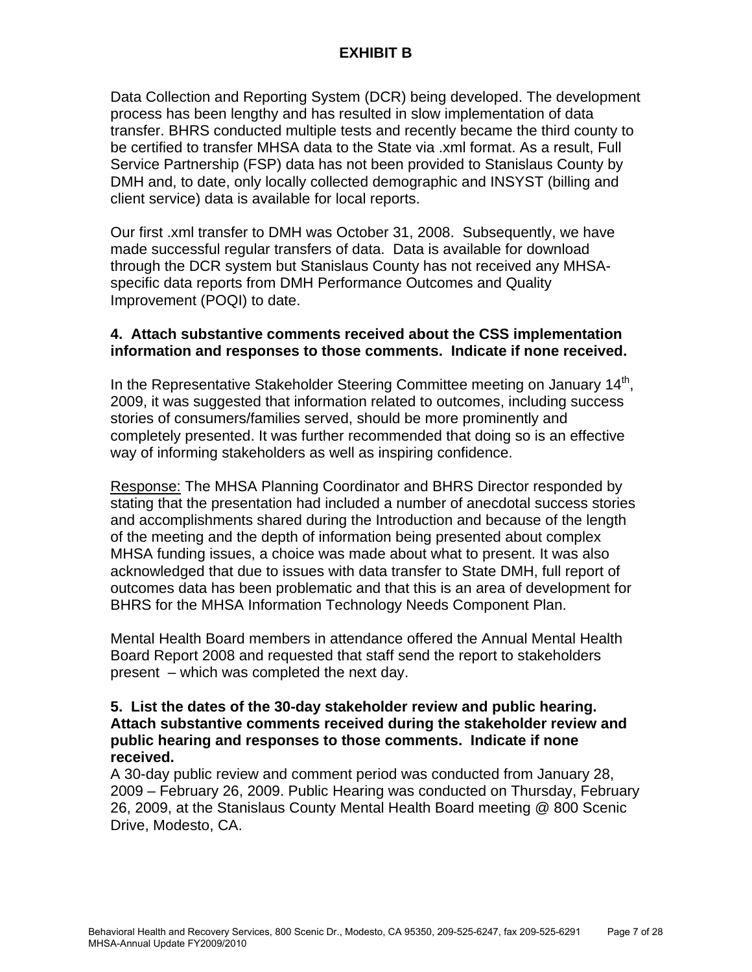Data Collection and Reporting System (DCR) being developed. The development process has been lengthy and has resulted in slow implementation of data transfer. BHRS conducted multiple tests and recently became the third county to be certified to transfer MHSA data to the State via .xml format. As a result, Full Service Partnership (FSP) data has not been provided to Stanislaus County by DMH and, to date, only locally collected demographic and INSYST (billing and client service) data is available for local reports.

Our first .xml transfer to DMH was October 31, 2008. Subsequently, we have made successful regular transfers of data. Data is available for download through the DCR system but Stanislaus County has not received any MHSAspecific data reports from DMH Performance Outcomes and Quality Improvement (POQI) to date.

# **4. Attach substantive comments received about the CSS implementation information and responses to those comments. Indicate if none received.**

In the Representative Stakeholder Steering Committee meeting on January 14<sup>th</sup>, 2009, it was suggested that information related to outcomes, including success stories of consumers/families served, should be more prominently and completely presented. It was further recommended that doing so is an effective way of informing stakeholders as well as inspiring confidence.

Response: The MHSA Planning Coordinator and BHRS Director responded by stating that the presentation had included a number of anecdotal success stories and accomplishments shared during the Introduction and because of the length of the meeting and the depth of information being presented about complex MHSA funding issues, a choice was made about what to present. It was also acknowledged that due to issues with data transfer to State DMH, full report of outcomes data has been problematic and that this is an area of development for BHRS for the MHSA Information Technology Needs Component Plan.

Mental Health Board members in attendance offered the Annual Mental Health Board Report 2008 and requested that staff send the report to stakeholders present – which was completed the next day.

# **5. List the dates of the 30-day stakeholder review and public hearing. Attach substantive comments received during the stakeholder review and public hearing and responses to those comments. Indicate if none received.**

A 30-day public review and comment period was conducted from January 28, 2009 – February 26, 2009. Public Hearing was conducted on Thursday, February 26, 2009, at the Stanislaus County Mental Health Board meeting @ 800 Scenic Drive, Modesto, CA.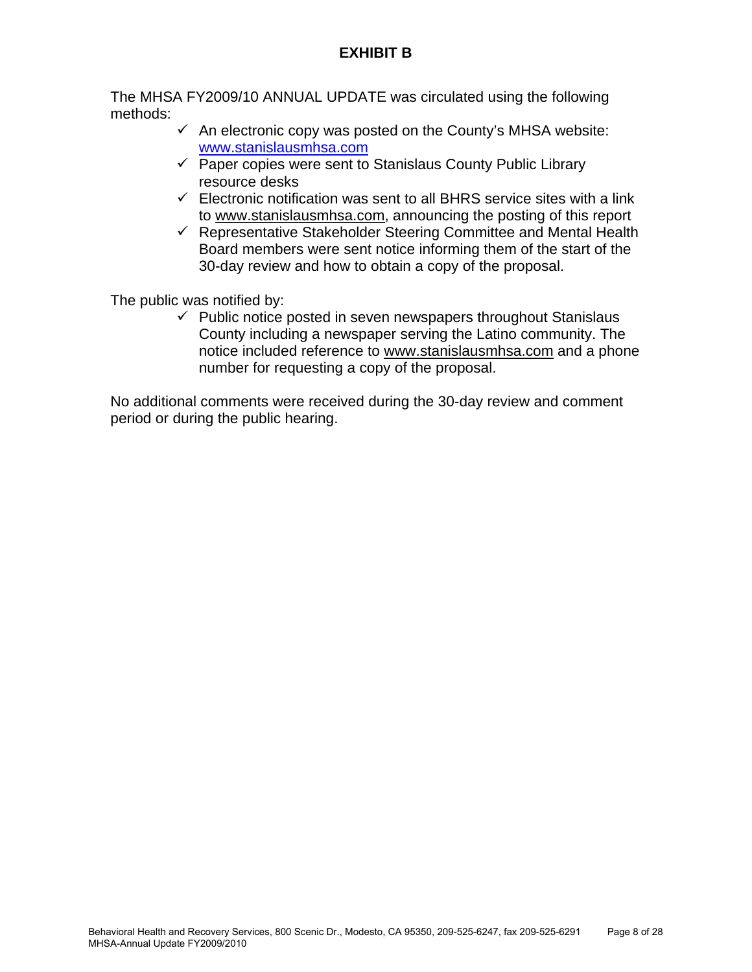The MHSA FY2009/10 ANNUAL UPDATE was circulated using the following methods:

- $\checkmark$  An electronic copy was posted on the County's MHSA website: [www.stanislausmhsa.com](http://www.stanislausmhsa.com/)
- $\checkmark$  Paper copies were sent to Stanislaus County Public Library resource desks
- $\checkmark$  Electronic notification was sent to all BHRS service sites with a link to [www.stanislausmhsa.com](http://www.stanislausmhsa.com/), announcing the posting of this report
- $\checkmark$  Representative Stakeholder Steering Committee and Mental Health Board members were sent notice informing them of the start of the 30-day review and how to obtain a copy of the proposal.

The public was notified by:

 $\checkmark$  Public notice posted in seven newspapers throughout Stanislaus County including a newspaper serving the Latino community. The notice included reference to [www.stanislausmhsa.com](http://www.stanislausmhsa.com/) and a phone number for requesting a copy of the proposal.

No additional comments were received during the 30-day review and comment period or during the public hearing.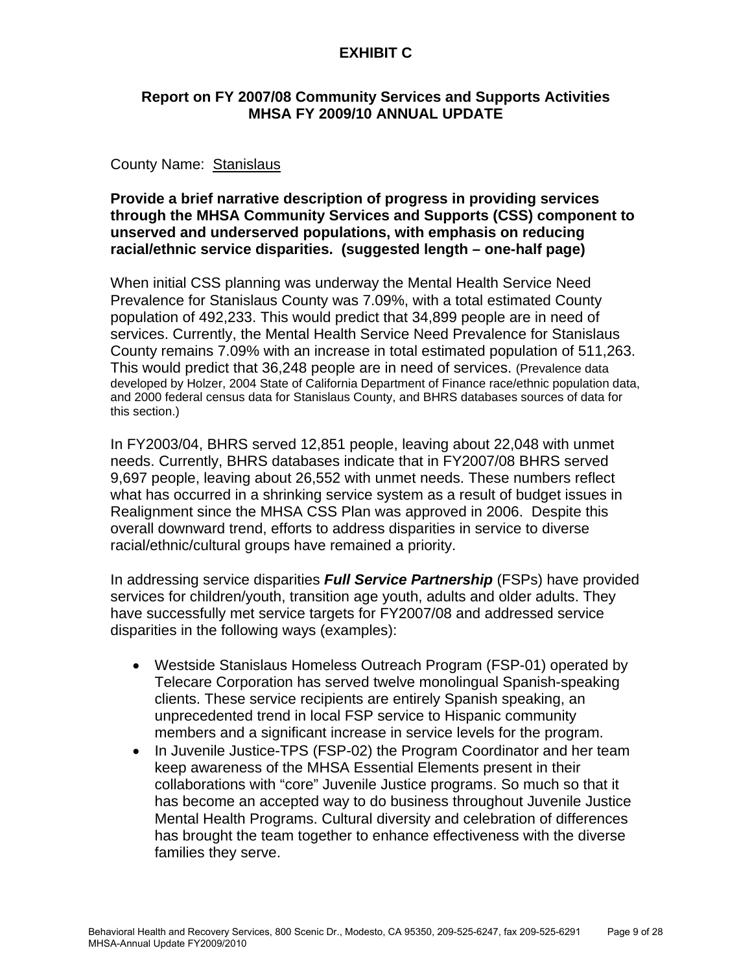# **EXHIBIT C**

# **Report on FY 2007/08 Community Services and Supports Activities MHSA FY 2009/10 ANNUAL UPDATE**

# County Name: Stanislaus

# **Provide a brief narrative description of progress in providing services through the MHSA Community Services and Supports (CSS) component to unserved and underserved populations, with emphasis on reducing racial/ethnic service disparities. (suggested length – one-half page)**

When initial CSS planning was underway the Mental Health Service Need Prevalence for Stanislaus County was 7.09%, with a total estimated County population of 492,233. This would predict that 34,899 people are in need of services. Currently, the Mental Health Service Need Prevalence for Stanislaus County remains 7.09% with an increase in total estimated population of 511,263. This would predict that 36,248 people are in need of services. (Prevalence data developed by Holzer, 2004 State of California Department of Finance race/ethnic population data, and 2000 federal census data for Stanislaus County, and BHRS databases sources of data for this section.)

In FY2003/04, BHRS served 12,851 people, leaving about 22,048 with unmet needs. Currently, BHRS databases indicate that in FY2007/08 BHRS served 9,697 people, leaving about 26,552 with unmet needs. These numbers reflect what has occurred in a shrinking service system as a result of budget issues in Realignment since the MHSA CSS Plan was approved in 2006. Despite this overall downward trend, efforts to address disparities in service to diverse racial/ethnic/cultural groups have remained a priority.

In addressing service disparities *Full Service Partnership* (FSPs) have provided services for children/youth, transition age youth, adults and older adults. They have successfully met service targets for FY2007/08 and addressed service disparities in the following ways (examples):

- Westside Stanislaus Homeless Outreach Program (FSP-01) operated by Telecare Corporation has served twelve monolingual Spanish-speaking clients. These service recipients are entirely Spanish speaking, an unprecedented trend in local FSP service to Hispanic community members and a significant increase in service levels for the program.
- In Juvenile Justice-TPS (FSP-02) the Program Coordinator and her team keep awareness of the MHSA Essential Elements present in their collaborations with "core" Juvenile Justice programs. So much so that it has become an accepted way to do business throughout Juvenile Justice Mental Health Programs. Cultural diversity and celebration of differences has brought the team together to enhance effectiveness with the diverse families they serve.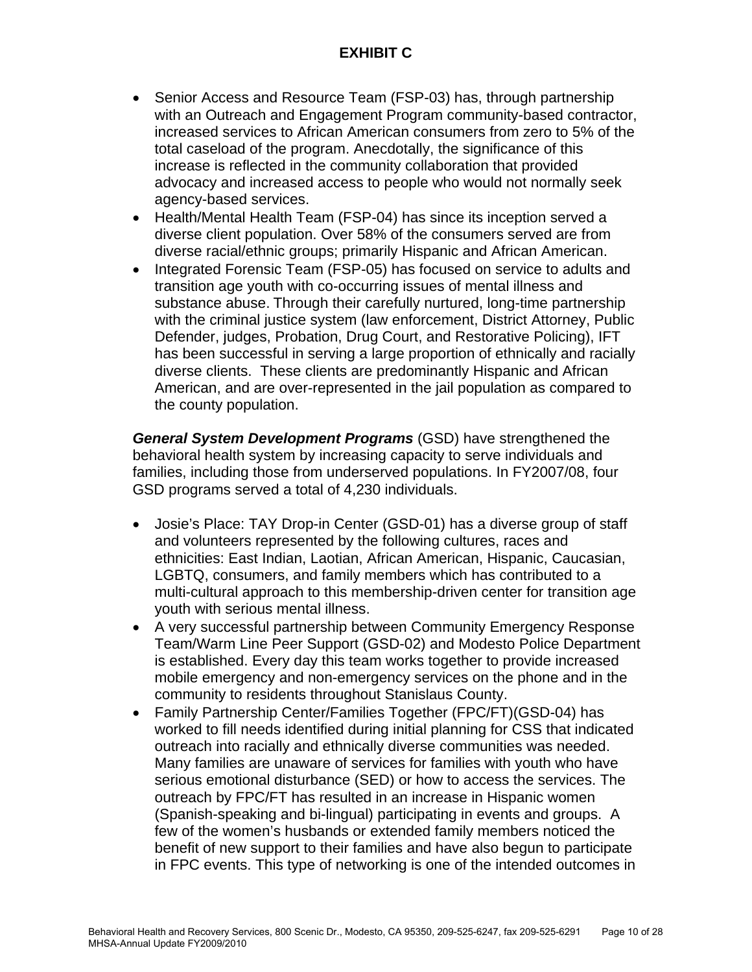# **EXHIBIT C**

- Senior Access and Resource Team (FSP-03) has, through partnership with an Outreach and Engagement Program community-based contractor, increased services to African American consumers from zero to 5% of the total caseload of the program. Anecdotally, the significance of this increase is reflected in the community collaboration that provided advocacy and increased access to people who would not normally seek agency-based services.
- Health/Mental Health Team (FSP-04) has since its inception served a diverse client population. Over 58% of the consumers served are from diverse racial/ethnic groups; primarily Hispanic and African American.
- Integrated Forensic Team (FSP-05) has focused on service to adults and transition age youth with co-occurring issues of mental illness and substance abuse. Through their carefully nurtured, long-time partnership with the criminal justice system (law enforcement, District Attorney, Public Defender, judges, Probation, Drug Court, and Restorative Policing), IFT has been successful in serving a large proportion of ethnically and racially diverse clients. These clients are predominantly Hispanic and African American, and are over-represented in the jail population as compared to the county population.

*General System Development Programs* (GSD) have strengthened the behavioral health system by increasing capacity to serve individuals and families, including those from underserved populations. In FY2007/08, four GSD programs served a total of 4,230 individuals.

- Josie's Place: TAY Drop-in Center (GSD-01) has a diverse group of staff and volunteers represented by the following cultures, races and ethnicities: East Indian, Laotian, African American, Hispanic, Caucasian, LGBTQ, consumers, and family members which has contributed to a multi-cultural approach to this membership-driven center for transition age youth with serious mental illness.
- A very successful partnership between Community Emergency Response Team/Warm Line Peer Support (GSD-02) and Modesto Police Department is established. Every day this team works together to provide increased mobile emergency and non-emergency services on the phone and in the community to residents throughout Stanislaus County.
- Family Partnership Center/Families Together (FPC/FT)(GSD-04) has worked to fill needs identified during initial planning for CSS that indicated outreach into racially and ethnically diverse communities was needed. Many families are unaware of services for families with youth who have serious emotional disturbance (SED) or how to access the services. The outreach by FPC/FT has resulted in an increase in Hispanic women (Spanish-speaking and bi-lingual) participating in events and groups. A few of the women's husbands or extended family members noticed the benefit of new support to their families and have also begun to participate in FPC events. This type of networking is one of the intended outcomes in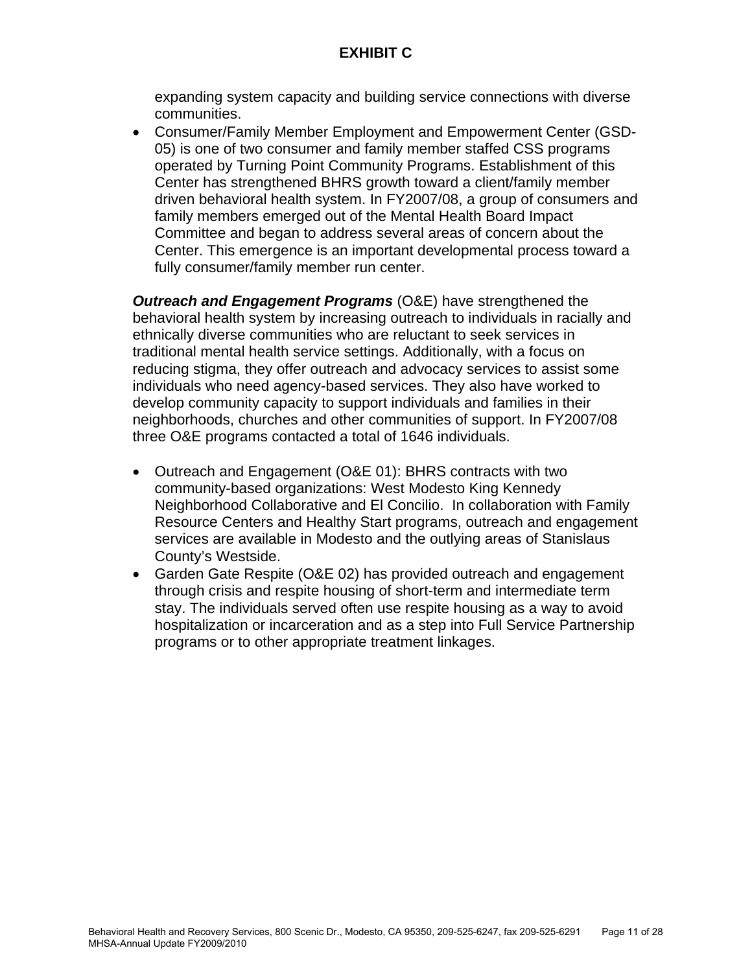# **EXHIBIT C**

expanding system capacity and building service connections with diverse communities.

• Consumer/Family Member Employment and Empowerment Center (GSD-05) is one of two consumer and family member staffed CSS programs operated by Turning Point Community Programs. Establishment of this Center has strengthened BHRS growth toward a client/family member driven behavioral health system. In FY2007/08, a group of consumers and family members emerged out of the Mental Health Board Impact Committee and began to address several areas of concern about the Center. This emergence is an important developmental process toward a fully consumer/family member run center.

*Outreach and Engagement Programs* (O&E) have strengthened the behavioral health system by increasing outreach to individuals in racially and ethnically diverse communities who are reluctant to seek services in traditional mental health service settings. Additionally, with a focus on reducing stigma, they offer outreach and advocacy services to assist some individuals who need agency-based services. They also have worked to develop community capacity to support individuals and families in their neighborhoods, churches and other communities of support. In FY2007/08 three O&E programs contacted a total of 1646 individuals.

- Outreach and Engagement (O&E 01): BHRS contracts with two community-based organizations: West Modesto King Kennedy Neighborhood Collaborative and El Concilio. In collaboration with Family Resource Centers and Healthy Start programs, outreach and engagement services are available in Modesto and the outlying areas of Stanislaus County's Westside.
- Garden Gate Respite (O&E 02) has provided outreach and engagement through crisis and respite housing of short-term and intermediate term stay. The individuals served often use respite housing as a way to avoid hospitalization or incarceration and as a step into Full Service Partnership programs or to other appropriate treatment linkages.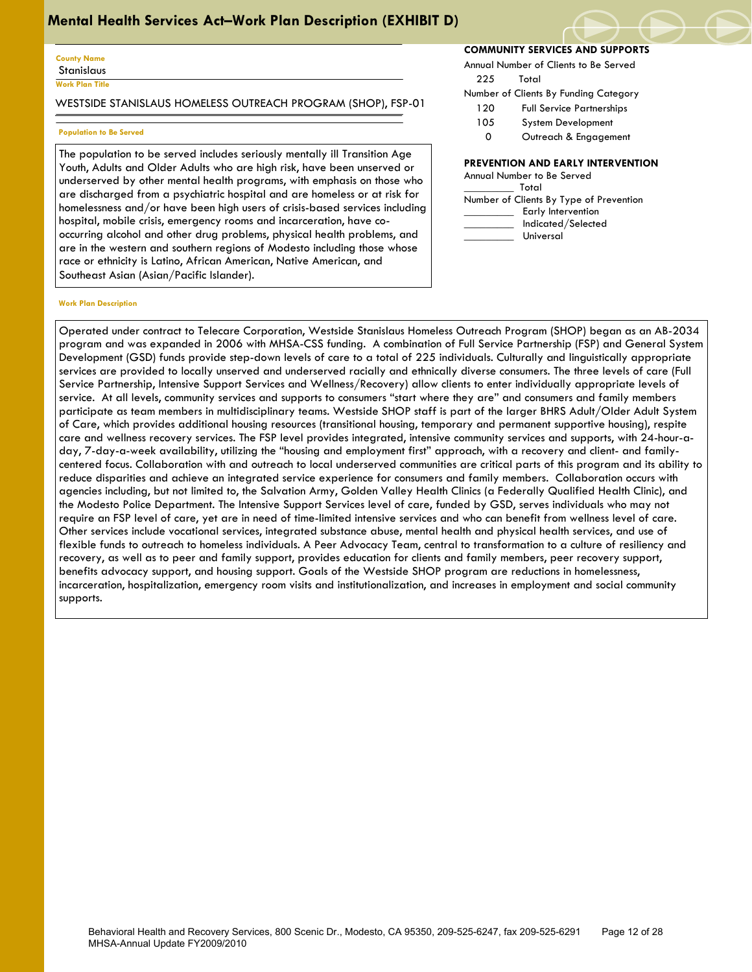#### **County Name Stanislaus**

**Work Plan Title**

 $\overline{\phantom{a}}$ 

WESTSIDE STANISLAUS HOMELESS OUTREACH PROGRAM (SHOP), FSP-01

### **Population to Be Served**

The population to be served includes seriously mentally ill Transition Age Youth, Adults and Older Adults who are high risk, have been unserved or underserved by other mental health programs, with emphasis on those who are discharged from a psychiatric hospital and are homeless or at risk for homelessness and/or have been high users of crisis-based services including hospital, mobile crisis, emergency rooms and incarceration, have cooccurring alcohol and other drug problems, physical health problems, and are in the western and southern regions of Modesto including those whose race or ethnicity is Latino, African American, Native American, and Southeast Asian (Asian/Pacific Islander).

#### **Work Plan Description**

**COMMUNITY SERVICES AND SUPPORTS**

Annual Number of Clients to Be Served

225 Total

Number of Clients By Funding Category

- 120 Full Service Partnerships
- 105 System Development
- 0 Outreach & Engagement

### **PREVENTION AND EARLY INTERVENTION**

| Annual Number to Be Served              |
|-----------------------------------------|
| Total                                   |
| Number of Clients By Type of Prevention |
| Early Intervention                      |
| Indicated/Selected                      |
| Universal                               |

Operated under contract to Telecare Corporation, Westside Stanislaus Homeless Outreach Program (SHOP) began as an AB-2034 program and was expanded in 2006 with MHSA-CSS funding. A combination of Full Service Partnership (FSP) and General System Development (GSD) funds provide step-down levels of care to a total of 225 individuals. Culturally and linguistically appropriate services are provided to locally unserved and underserved racially and ethnically diverse consumers. The three levels of care (Full Service Partnership, Intensive Support Services and Wellness/Recovery) allow clients to enter individually appropriate levels of service. At all levels, community services and supports to consumers "start where they are" and consumers and family members participate as team members in multidisciplinary teams. Westside SHOP staff is part of the larger BHRS Adult/Older Adult System of Care, which provides additional housing resources (transitional housing, temporary and permanent supportive housing), respite care and wellness recovery services. The FSP level provides integrated, intensive community services and supports, with 24-hour-aday, 7-day-a-week availability, utilizing the "housing and employment first" approach, with a recovery and client- and familycentered focus. Collaboration with and outreach to local underserved communities are critical parts of this program and its ability to reduce disparities and achieve an integrated service experience for consumers and family members. Collaboration occurs with agencies including, but not limited to, the Salvation Army, Golden Valley Health Clinics (a Federally Qualified Health Clinic), and the Modesto Police Department. The Intensive Support Services level of care, funded by GSD, serves individuals who may not require an FSP level of care, yet are in need of time-limited intensive services and who can benefit from wellness level of care. Other services include vocational services, integrated substance abuse, mental health and physical health services, and use of flexible funds to outreach to homeless individuals. A Peer Advocacy Team, central to transformation to a culture of resiliency and recovery, as well as to peer and family support, provides education for clients and family members, peer recovery support, benefits advocacy support, and housing support. Goals of the Westside SHOP program are reductions in homelessness, incarceration, hospitalization, emergency room visits and institutionalization, and increases in employment and social community supports.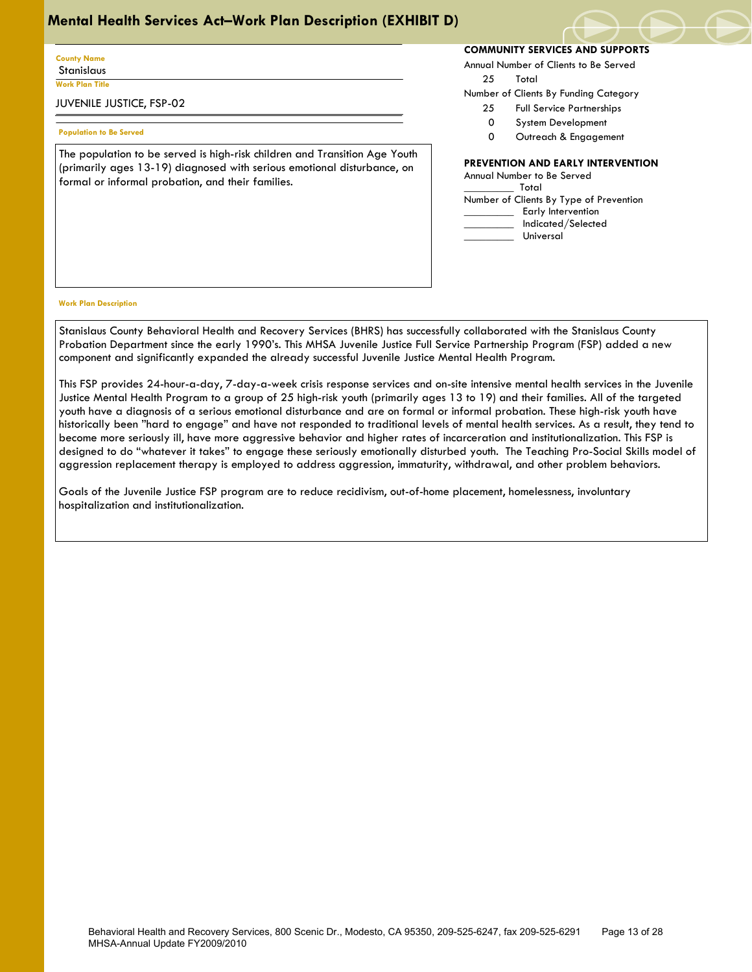## **County Name** Stanislaus

**Work Plan Title**

 $\overline{\phantom{a}}$ 

## JUVENILE JUSTICE, FSP-02

### **Population to Be Served**

The population to be served is high-risk children and Transition Age Youth (primarily ages 13-19) diagnosed with serious emotional disturbance, on formal or informal probation, and their families.

## **COMMUNITY SERVICES AND SUPPORTS**

Annual Number of Clients to Be Served

25 Total

Number of Clients By Funding Category

- 25 Full Service Partnerships
- 0 System Development
- 0 Outreach & Engagement

## **PREVENTION AND EARLY INTERVENTION**

Annual Number to Be Served \_\_\_\_\_\_\_\_\_ Total Number of Clients By Type of Prevention Early Intervention \_\_\_\_\_\_\_\_\_ Indicated/Selected \_\_\_\_\_\_\_\_\_ Universal

#### **Work Plan Description**

Stanislaus County Behavioral Health and Recovery Services (BHRS) has successfully collaborated with the Stanislaus County Probation Department since the early 1990's. This MHSA Juvenile Justice Full Service Partnership Program (FSP) added a new component and significantly expanded the already successful Juvenile Justice Mental Health Program.

This FSP provides 24-hour-a-day, 7-day-a-week crisis response services and on-site intensive mental health services in the Juvenile Justice Mental Health Program to a group of 25 high-risk youth (primarily ages 13 to 19) and their families. All of the targeted youth have a diagnosis of a serious emotional disturbance and are on formal or informal probation. These high-risk youth have historically been "hard to engage" and have not responded to traditional levels of mental health services. As a result, they tend to become more seriously ill, have more aggressive behavior and higher rates of incarceration and institutionalization. This FSP is designed to do "whatever it takes" to engage these seriously emotionally disturbed youth. The Teaching Pro-Social Skills model of aggression replacement therapy is employed to address aggression, immaturity, withdrawal, and other problem behaviors.

Goals of the Juvenile Justice FSP program are to reduce recidivism, out-of-home placement, homelessness, involuntary hospitalization and institutionalization.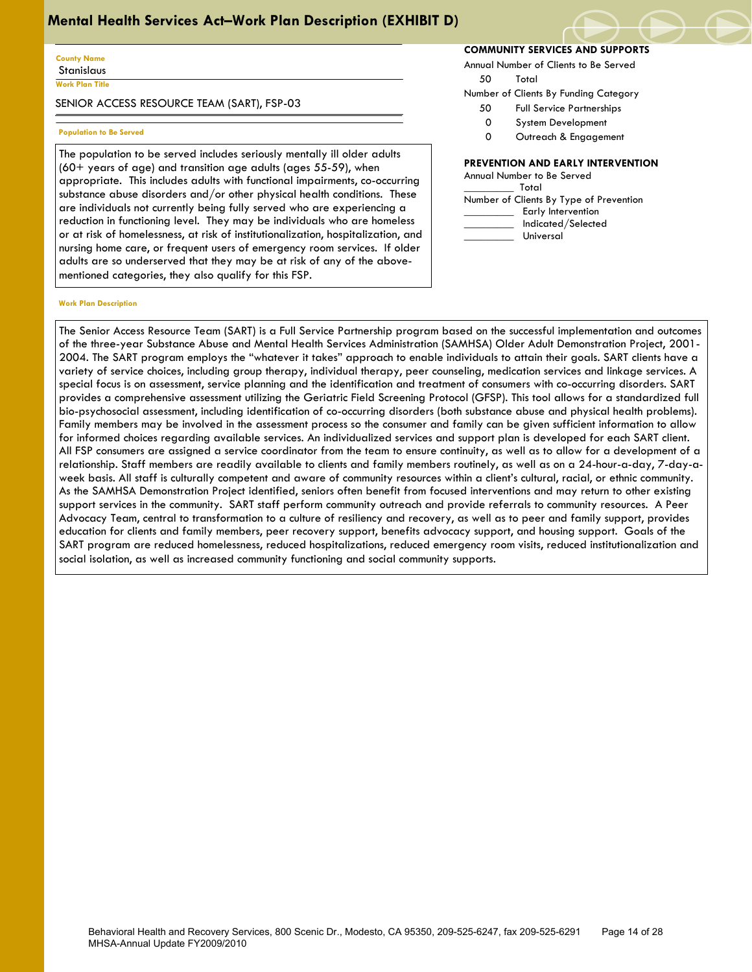#### **County Name Stanislaus**

**Work Plan Title**

 $\overline{\phantom{a}}$ 

SENIOR ACCESS RESOURCE TEAM (SART), FSP-03

#### **Population to Be Served**

The population to be served includes seriously mentally ill older adults (60+ years of age) and transition age adults (ages 55-59), when appropriate. This includes adults with functional impairments, co-occurring substance abuse disorders and/or other physical health conditions. These are individuals not currently being fully served who are experiencing a reduction in functioning level. They may be individuals who are homeless or at risk of homelessness, at risk of institutionalization, hospitalization, and nursing home care, or frequent users of emergency room services. If older adults are so underserved that they may be at risk of any of the abovementioned categories, they also qualify for this FSP.

#### **Work Plan Description**

**COMMUNITY SERVICES AND SUPPORTS**

Annual Number of Clients to Be Served

50 Total

Number of Clients By Funding Category

- 50 Full Service Partnerships
- 0 System Development
- 0 Outreach & Engagement

## **PREVENTION AND EARLY INTERVENTION**

| Annual Number to Be Served              |
|-----------------------------------------|
| Total                                   |
| Number of Clients By Type of Prevention |
| Early Intervention                      |
| Indicated/Selected                      |
| Universal                               |

The Senior Access Resource Team (SART) is a Full Service Partnership program based on the successful implementation and outcomes of the three-year Substance Abuse and Mental Health Services Administration (SAMHSA) Older Adult Demonstration Project, 2001- 2004. The SART program employs the "whatever it takes" approach to enable individuals to attain their goals. SART clients have a variety of service choices, including group therapy, individual therapy, peer counseling, medication services and linkage services. A special focus is on assessment, service planning and the identification and treatment of consumers with co-occurring disorders. SART provides a comprehensive assessment utilizing the Geriatric Field Screening Protocol (GFSP). This tool allows for a standardized full bio-psychosocial assessment, including identification of co-occurring disorders (both substance abuse and physical health problems). Family members may be involved in the assessment process so the consumer and family can be given sufficient information to allow for informed choices regarding available services. An individualized services and support plan is developed for each SART client. All FSP consumers are assigned a service coordinator from the team to ensure continuity, as well as to allow for a development of a relationship. Staff members are readily available to clients and family members routinely, as well as on a 24-hour-a-day, 7-day-aweek basis. All staff is culturally competent and aware of community resources within a client's cultural, racial, or ethnic community. As the SAMHSA Demonstration Project identified, seniors often benefit from focused interventions and may return to other existing support services in the community. SART staff perform community outreach and provide referrals to community resources. A Peer Advocacy Team, central to transformation to a culture of resiliency and recovery, as well as to peer and family support, provides education for clients and family members, peer recovery support, benefits advocacy support, and housing support. Goals of the SART program are reduced homelessness, reduced hospitalizations, reduced emergency room visits, reduced institutionalization and social isolation, as well as increased community functioning and social community supports.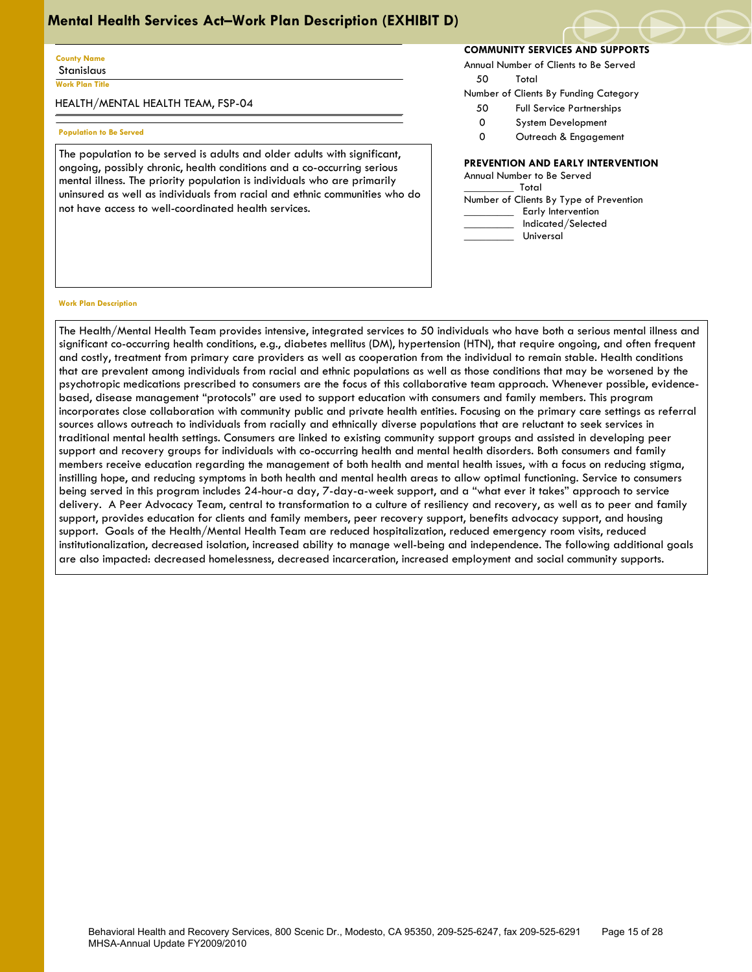#### **County Name Stanislaus**

**Work Plan Title**

 $\overline{\phantom{a}}$ 

HEALTH/MENTAL HEALTH TEAM, FSP-04

### **Population to Be Served**

The population to be served is adults and older adults with significant, ongoing, possibly chronic, health conditions and a co-occurring serious mental illness. The priority population is individuals who are primarily uninsured as well as individuals from racial and ethnic communities who do not have access to well-coordinated health services.

## **COMMUNITY SERVICES AND SUPPORTS**

Annual Number of Clients to Be Served

50 Total

Number of Clients By Funding Category

- 50 Full Service Partnerships
- 0 System Development
- 0 Outreach & Engagement

## **PREVENTION AND EARLY INTERVENTION**

Annual Number to Be Served \_\_\_\_\_\_\_\_\_ Total Number of Clients By Type of Prevention Early Intervention \_\_\_\_\_\_\_\_\_ Indicated/Selected \_\_\_\_\_\_\_\_\_ Universal

#### **Work Plan Description**

The Health/Mental Health Team provides intensive, integrated services to 50 individuals who have both a serious mental illness and significant co-occurring health conditions, e.g., diabetes mellitus (DM), hypertension (HTN), that require ongoing, and often frequent and costly, treatment from primary care providers as well as cooperation from the individual to remain stable. Health conditions that are prevalent among individuals from racial and ethnic populations as well as those conditions that may be worsened by the psychotropic medications prescribed to consumers are the focus of this collaborative team approach. Whenever possible, evidencebased, disease management "protocols" are used to support education with consumers and family members. This program incorporates close collaboration with community public and private health entities. Focusing on the primary care settings as referral sources allows outreach to individuals from racially and ethnically diverse populations that are reluctant to seek services in traditional mental health settings. Consumers are linked to existing community support groups and assisted in developing peer support and recovery groups for individuals with co-occurring health and mental health disorders. Both consumers and family members receive education regarding the management of both health and mental health issues, with a focus on reducing stigma, instilling hope, and reducing symptoms in both health and mental health areas to allow optimal functioning. Service to consumers being served in this program includes 24-hour-a day, 7-day-a-week support, and a "what ever it takes" approach to service delivery. A Peer Advocacy Team, central to transformation to a culture of resiliency and recovery, as well as to peer and family support, provides education for clients and family members, peer recovery support, benefits advocacy support, and housing support. Goals of the Health/Mental Health Team are reduced hospitalization, reduced emergency room visits, reduced institutionalization, decreased isolation, increased ability to manage well-being and independence. The following additional goals are also impacted: decreased homelessness, decreased incarceration, increased employment and social community supports.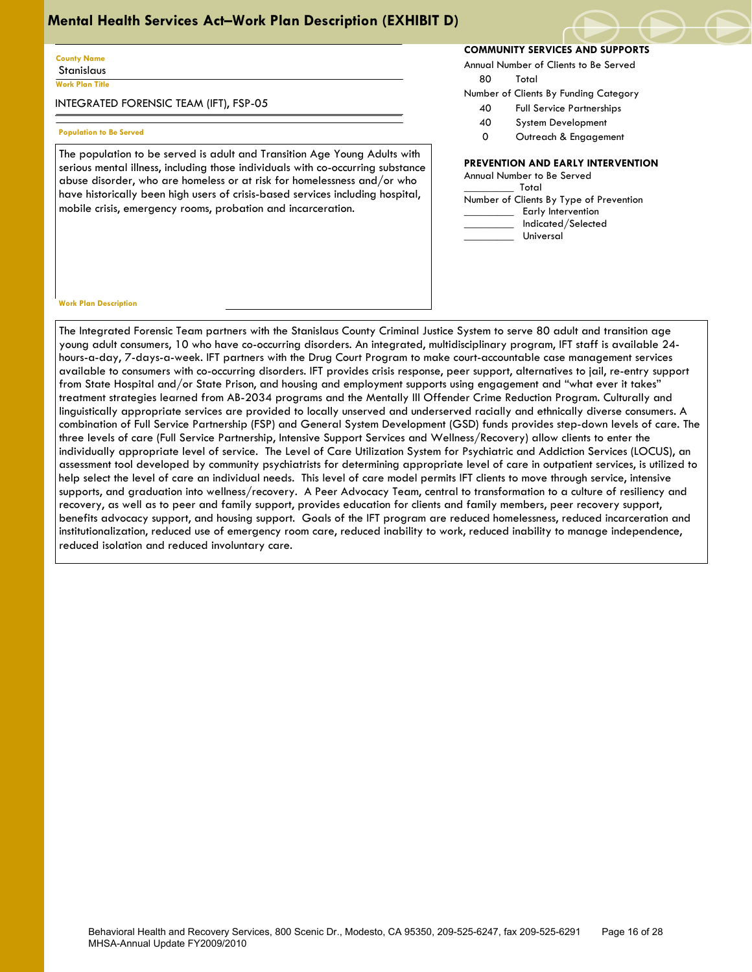#### **County Name** Stanislaus

**Work Plan Title**

 $\overline{\phantom{a}}$ 

INTEGRATED FORENSIC TEAM (IFT), FSP-05

### **Population to Be Served**

The population to be served is adult and Transition Age Young Adults with serious mental illness, including those individuals with co-occurring substance abuse disorder, who are homeless or at risk for homelessness and/or who have historically been high users of crisis-based services including hospital, mobile crisis, emergency rooms, probation and incarceration.

## **COMMUNITY SERVICES AND SUPPORTS**

Annual Number of Clients to Be Served

80 Total

- Number of Clients By Funding Category
	- 40 Full Service Partnerships
	- 40 System Development
	- 0 Outreach & Engagement

## **PREVENTION AND EARLY INTERVENTION**

Annual Number to Be Served \_\_\_\_\_\_\_\_\_ Total Number of Clients By Type of Prevention Early Intervention \_\_\_\_\_\_\_\_\_ Indicated/Selected \_\_\_\_\_\_\_\_\_ Universal

#### **Work Plan Description**

The Integrated Forensic Team partners with the Stanislaus County Criminal Justice System to serve 80 adult and transition age young adult consumers, 10 who have co-occurring disorders. An integrated, multidisciplinary program, IFT staff is available 24 hours-a-day, 7-days-a-week. IFT partners with the Drug Court Program to make court-accountable case management services available to consumers with co-occurring disorders. IFT provides crisis response, peer support, alternatives to jail, re-entry support from State Hospital and/or State Prison, and housing and employment supports using engagement and "what ever it takes" treatment strategies learned from AB-2034 programs and the Mentally Ill Offender Crime Reduction Program. Culturally and linguistically appropriate services are provided to locally unserved and underserved racially and ethnically diverse consumers. A combination of Full Service Partnership (FSP) and General System Development (GSD) funds provides step-down levels of care. The three levels of care (Full Service Partnership, Intensive Support Services and Wellness/Recovery) allow clients to enter the individually appropriate level of service. The Level of Care Utilization System for Psychiatric and Addiction Services (LOCUS), an assessment tool developed by community psychiatrists for determining appropriate level of care in outpatient services, is utilized to help select the level of care an individual needs. This level of care model permits IFT clients to move through service, intensive supports, and graduation into wellness/recovery. A Peer Advocacy Team, central to transformation to a culture of resiliency and recovery, as well as to peer and family support, provides education for clients and family members, peer recovery support, benefits advocacy support, and housing support. Goals of the IFT program are reduced homelessness, reduced incarceration and institutionalization, reduced use of emergency room care, reduced inability to work, reduced inability to manage independence, reduced isolation and reduced involuntary care.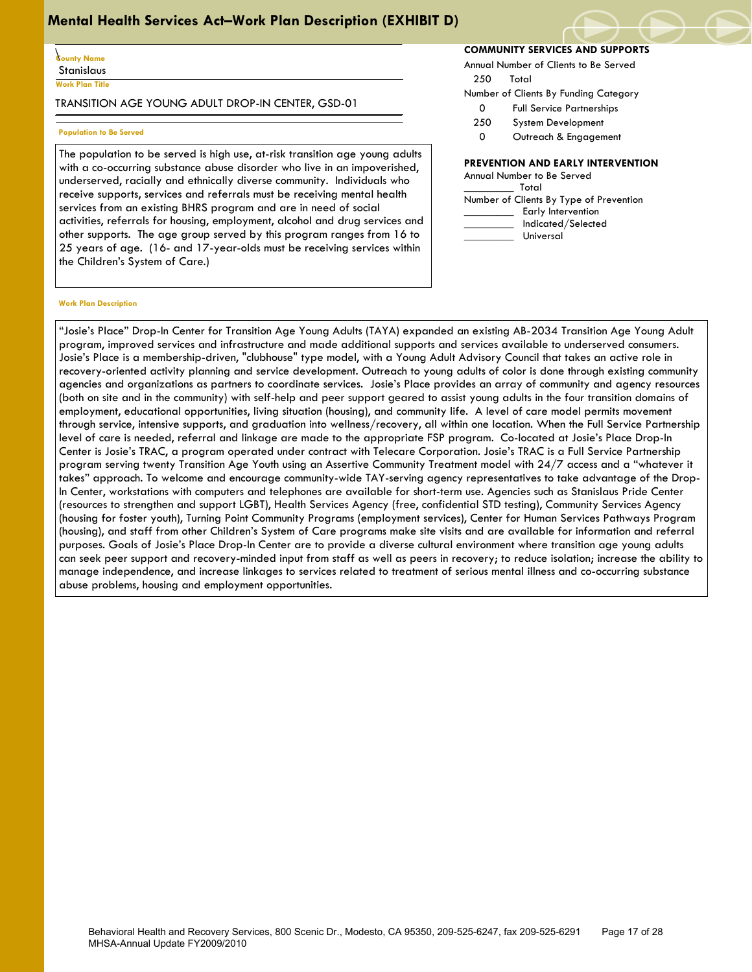### \ **County Name** Stanislaus

**Work Plan Title**

 $\overline{\phantom{a}}$ 

TRANSITION AGE YOUNG ADULT DROP-IN CENTER, GSD-01

#### **Population to Be Served**

The population to be served is high use, at-risk transition age young adults with a co-occurring substance abuse disorder who live in an impoverished, underserved, racially and ethnically diverse community. Individuals who receive supports, services and referrals must be receiving mental health services from an existing BHRS program and are in need of social activities, referrals for housing, employment, alcohol and drug services and other supports. The age group served by this program ranges from 16 to 25 years of age. (16- and 17-year-olds must be receiving services within the Children's System of Care.)

# **COMMUNITY SERVICES AND SUPPORTS**

Annual Number of Clients to Be Served 250 Total

- 
- Number of Clients By Funding Category
	- 0 Full Service Partnerships
	- 250 System Development
	- 0 Outreach & Engagement

## **PREVENTION AND EARLY INTERVENTION**

| Annual Number to Be Served              |
|-----------------------------------------|
| Total                                   |
| Number of Clients By Type of Prevention |
| Early Intervention                      |
| Indicated/Selected                      |
| Universal                               |

#### **Work Plan Description**

"Josie's Place" Drop-In Center for Transition Age Young Adults (TAYA) expanded an existing AB-2034 Transition Age Young Adult program, improved services and infrastructure and made additional supports and services available to underserved consumers. Josie's Place is a membership-driven, "clubhouse" type model, with a Young Adult Advisory Council that takes an active role in recovery-oriented activity planning and service development. Outreach to young adults of color is done through existing community agencies and organizations as partners to coordinate services. Josie's Place provides an array of community and agency resources (both on site and in the community) with self-help and peer support geared to assist young adults in the four transition domains of employment, educational opportunities, living situation (housing), and community life. A level of care model permits movement through service, intensive supports, and graduation into wellness/recovery, all within one location. When the Full Service Partnership level of care is needed, referral and linkage are made to the appropriate FSP program. Co-located at Josie's Place Drop-In Center is Josie's TRAC, a program operated under contract with Telecare Corporation. Josie's TRAC is a Full Service Partnership program serving twenty Transition Age Youth using an Assertive Community Treatment model with 24/7 access and a "whatever it takes" approach. To welcome and encourage community-wide TAY-serving agency representatives to take advantage of the Drop-In Center, workstations with computers and telephones are available for short-term use. Agencies such as Stanislaus Pride Center (resources to strengthen and support LGBT), Health Services Agency (free, confidential STD testing), Community Services Agency (housing for foster youth), Turning Point Community Programs (employment services), Center for Human Services Pathways Program (housing), and staff from other Children's System of Care programs make site visits and are available for information and referral purposes. Goals of Josie's Place Drop-In Center are to provide a diverse cultural environment where transition age young adults can seek peer support and recovery-minded input from staff as well as peers in recovery; to reduce isolation; increase the ability to manage independence, and increase linkages to services related to treatment of serious mental illness and co-occurring substance abuse problems, housing and employment opportunities.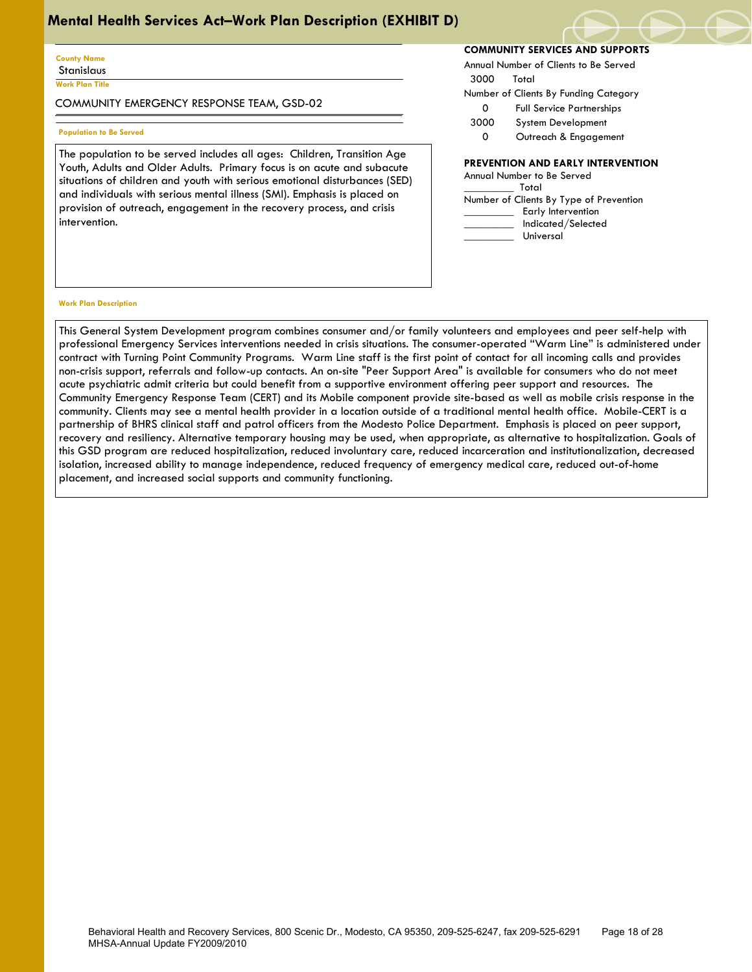#### **County Name Stanislaus**

**Work Plan Title**

 $\overline{\phantom{a}}$ 

COMMUNITY EMERGENCY RESPONSE TEAM, GSD-02

### **Population to Be Served**

The population to be served includes all ages: Children, Transition Age Youth, Adults and Older Adults. Primary focus is on acute and subacute situations of children and youth with serious emotional disturbances (SED) and individuals with serious mental illness (SMI). Emphasis is placed on provision of outreach, engagement in the recovery process, and crisis intervention.

## **COMMUNITY SERVICES AND SUPPORTS**

Annual Number of Clients to Be Served

3000 Total

- Number of Clients By Funding Category
	- 0 Full Service Partnerships
- 3000 System Development 0 Outreach & Engagement

# **PREVENTION AND EARLY INTERVENTION**

| FREVENTION AND EARLT INTERVENTIN        |
|-----------------------------------------|
| Annual Number to Be Served              |
| Total                                   |
| Number of Clients By Type of Prevention |
| Early Intervention                      |
| Indicated/Selected                      |
| Universal                               |
|                                         |

#### **Work Plan Description**

This General System Development program combines consumer and/or family volunteers and employees and peer self-help with professional Emergency Services interventions needed in crisis situations. The consumer-operated "Warm Line" is administered under contract with Turning Point Community Programs. Warm Line staff is the first point of contact for all incoming calls and provides non-crisis support, referrals and follow-up contacts. An on-site "Peer Support Area" is available for consumers who do not meet acute psychiatric admit criteria but could benefit from a supportive environment offering peer support and resources. The Community Emergency Response Team (CERT) and its Mobile component provide site-based as well as mobile crisis response in the community. Clients may see a mental health provider in a location outside of a traditional mental health office. Mobile-CERT is a partnership of BHRS clinical staff and patrol officers from the Modesto Police Department. Emphasis is placed on peer support, recovery and resiliency. Alternative temporary housing may be used, when appropriate, as alternative to hospitalization. Goals of this GSD program are reduced hospitalization, reduced involuntary care, reduced incarceration and institutionalization, decreased isolation, increased ability to manage independence, reduced frequency of emergency medical care, reduced out-of-home placement, and increased social supports and community functioning.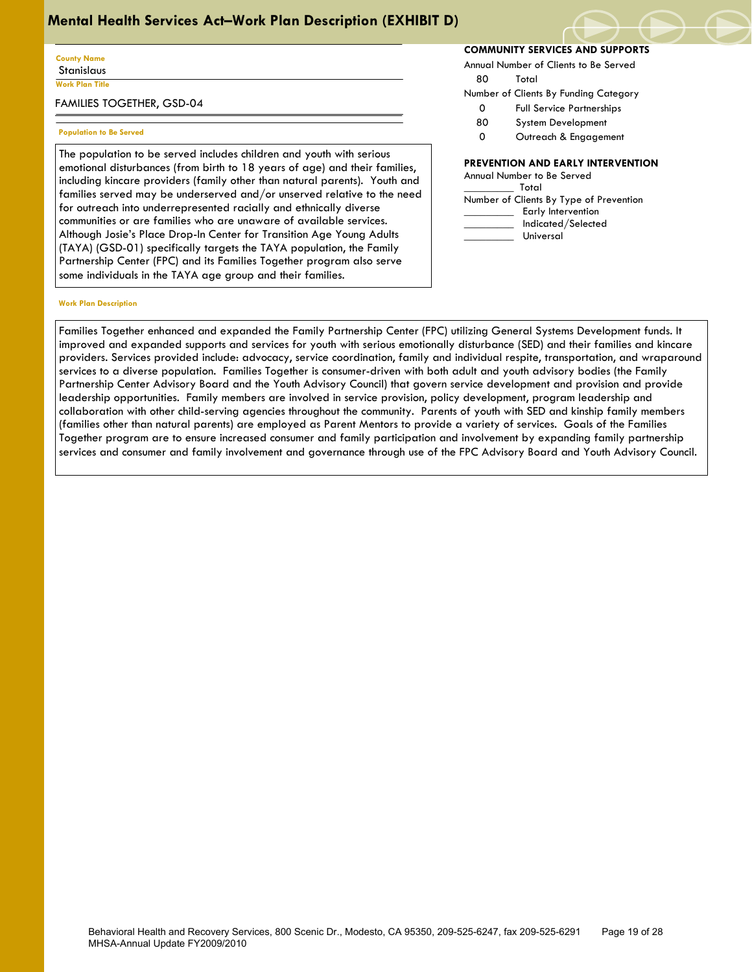## **County Name** Stanislaus

**Work Plan Title**

 $\overline{\phantom{a}}$ 

FAMILIES TOGETHER, GSD-04

### **Population to Be Served**

The population to be served includes children and youth with serious emotional disturbances (from birth to 18 years of age) and their families, including kincare providers (family other than natural parents). Youth and families served may be underserved and/or unserved relative to the need for outreach into underrepresented racially and ethnically diverse communities or are families who are unaware of available services. Although Josie's Place Drop-In Center for Transition Age Young Adults (TAYA) (GSD-01) specifically targets the TAYA population, the Family Partnership Center (FPC) and its Families Together program also serve some individuals in the TAYA age group and their families.

#### **Work Plan Description**

**COMMUNITY SERVICES AND SUPPORTS**

Annual Number of Clients to Be Served

80 Total

- Number of Clients By Funding Category
	- 0 Full Service Partnerships
	- 80 System Development
	- 0 Outreach & Engagement

## **PREVENTION AND EARLY INTERVENTION**

| Annual Number to Be Served              |  |  |  |  |  |
|-----------------------------------------|--|--|--|--|--|
| Total                                   |  |  |  |  |  |
| Number of Clients By Type of Prevention |  |  |  |  |  |
| Early Intervention                      |  |  |  |  |  |
| Indicated/Selected                      |  |  |  |  |  |
| Universal                               |  |  |  |  |  |

Families Together enhanced and expanded the Family Partnership Center (FPC) utilizing General Systems Development funds. It improved and expanded supports and services for youth with serious emotionally disturbance (SED) and their families and kincare providers. Services provided include: advocacy, service coordination, family and individual respite, transportation, and wraparound services to a diverse population. Families Together is consumer-driven with both adult and youth advisory bodies (the Family Partnership Center Advisory Board and the Youth Advisory Council) that govern service development and provision and provide leadership opportunities. Family members are involved in service provision, policy development, program leadership and collaboration with other child-serving agencies throughout the community. Parents of youth with SED and kinship family members (families other than natural parents) are employed as Parent Mentors to provide a variety of services. Goals of the Families Together program are to ensure increased consumer and family participation and involvement by expanding family partnership services and consumer and family involvement and governance through use of the FPC Advisory Board and Youth Advisory Council.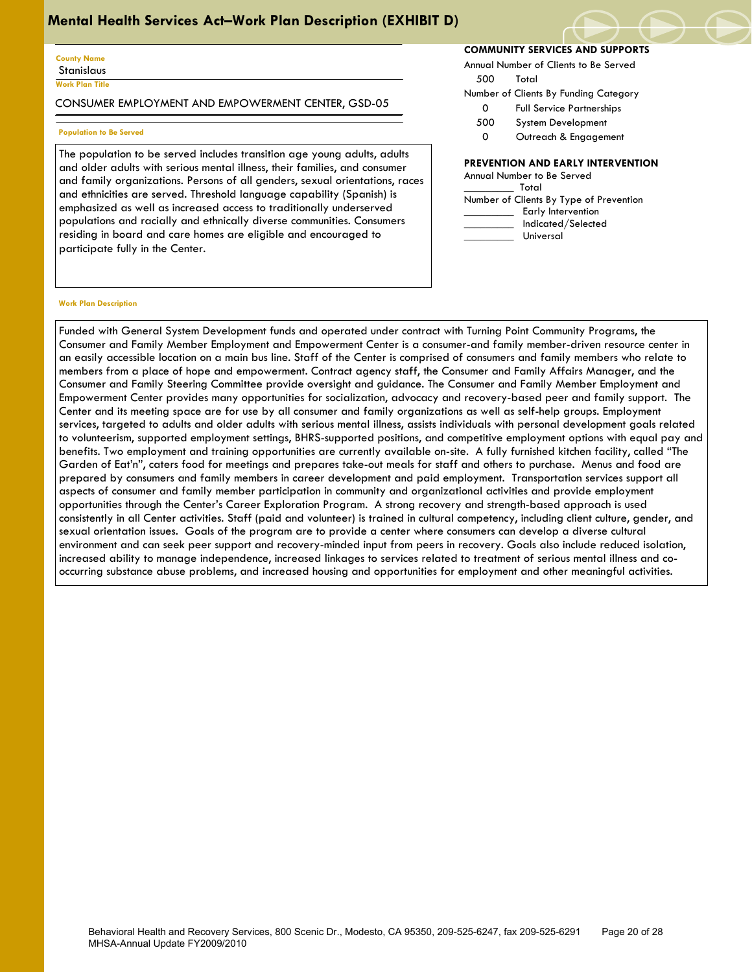#### **County Name** Stanislaus

**Work Plan Title**

 $\overline{\phantom{a}}$ 

CONSUMER EMPLOYMENT AND EMPOWERMENT CENTER, GSD-05

### **Population to Be Served**

The population to be served includes transition age young adults, adults and older adults with serious mental illness, their families, and consumer and family organizations. Persons of all genders, sexual orientations, races and ethnicities are served. Threshold language capability (Spanish) is emphasized as well as increased access to traditionally underserved populations and racially and ethnically diverse communities. Consumers residing in board and care homes are eligible and encouraged to participate fully in the Center.

## **COMMUNITY SERVICES AND SUPPORTS**

Annual Number of Clients to Be Served

500 Total

- Number of Clients By Funding Category
	- 0 Full Service Partnerships
	- 500 System Development
	- 0 Outreach & Engagement

## **PREVENTION AND EARLY INTERVENTION**

#### **Work Plan Description**

Funded with General System Development funds and operated under contract with Turning Point Community Programs, the Consumer and Family Member Employment and Empowerment Center is a consumer-and family member-driven resource center in an easily accessible location on a main bus line. Staff of the Center is comprised of consumers and family members who relate to members from a place of hope and empowerment. Contract agency staff, the Consumer and Family Affairs Manager, and the Consumer and Family Steering Committee provide oversight and guidance. The Consumer and Family Member Employment and Empowerment Center provides many opportunities for socialization, advocacy and recovery-based peer and family support. The Center and its meeting space are for use by all consumer and family organizations as well as self-help groups. Employment services, targeted to adults and older adults with serious mental illness, assists individuals with personal development goals related to volunteerism, supported employment settings, BHRS-supported positions, and competitive employment options with equal pay and benefits. Two employment and training opportunities are currently available on-site. A fully furnished kitchen facility, called "The Garden of Eat'n", caters food for meetings and prepares take-out meals for staff and others to purchase. Menus and food are prepared by consumers and family members in career development and paid employment. Transportation services support all aspects of consumer and family member participation in community and organizational activities and provide employment opportunities through the Center's Career Exploration Program. A strong recovery and strength-based approach is used consistently in all Center activities. Staff (paid and volunteer) is trained in cultural competency, including client culture, gender, and sexual orientation issues. Goals of the program are to provide a center where consumers can develop a diverse cultural environment and can seek peer support and recovery-minded input from peers in recovery. Goals also include reduced isolation, increased ability to manage independence, increased linkages to services related to treatment of serious mental illness and cooccurring substance abuse problems, and increased housing and opportunities for employment and other meaningful activities.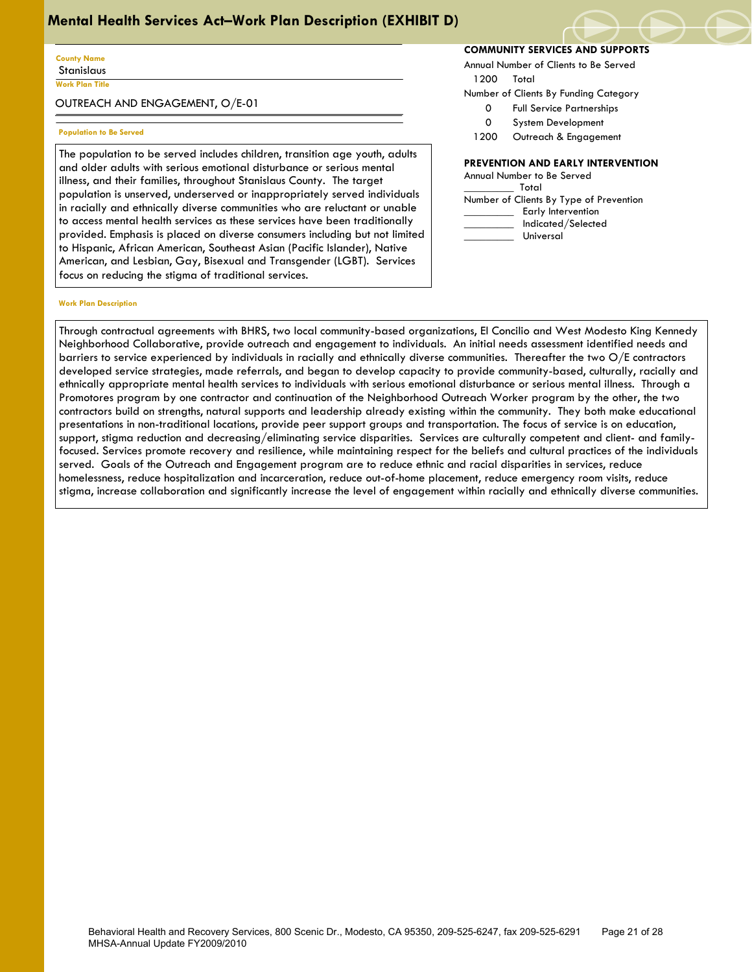#### **County Name** Stanislaus

**Work Plan Title**

 $\overline{\phantom{a}}$ 

OUTREACH AND ENGAGEMENT, O/E-01

## **Population to Be Served**

The population to be served includes children, transition age youth, adults and older adults with serious emotional disturbance or serious mental illness, and their families, throughout Stanislaus County. The target population is unserved, underserved or inappropriately served individuals in racially and ethnically diverse communities who are reluctant or unable to access mental health services as these services have been traditionally provided. Emphasis is placed on diverse consumers including but not limited to Hispanic, African American, Southeast Asian (Pacific Islander), Native American, and Lesbian, Gay, Bisexual and Transgender (LGBT). Services focus on reducing the stigma of traditional services.

## **COMMUNITY SERVICES AND SUPPORTS**

Annual Number of Clients to Be Served

- 1200 Total
- Number of Clients By Funding Category
	- 0 Full Service Partnerships
	- 0 System Development
- 1200 Outreach & Engagement

## **PREVENTION AND EARLY INTERVENTION**

| Annual Number to Be Served              |
|-----------------------------------------|
| Total                                   |
| Number of Clients By Type of Prevention |
| Early Intervention                      |
| Indicated/Selected                      |
| Universal                               |

#### **Work Plan Description**

Through contractual agreements with BHRS, two local community-based organizations, El Concilio and West Modesto King Kennedy Neighborhood Collaborative, provide outreach and engagement to individuals. An initial needs assessment identified needs and barriers to service experienced by individuals in racially and ethnically diverse communities. Thereafter the two O/E contractors developed service strategies, made referrals, and began to develop capacity to provide community-based, culturally, racially and ethnically appropriate mental health services to individuals with serious emotional disturbance or serious mental illness. Through a Promotores program by one contractor and continuation of the Neighborhood Outreach Worker program by the other, the two contractors build on strengths, natural supports and leadership already existing within the community. They both make educational presentations in non-traditional locations, provide peer support groups and transportation. The focus of service is on education, support, stigma reduction and decreasing/eliminating service disparities. Services are culturally competent and client- and familyfocused. Services promote recovery and resilience, while maintaining respect for the beliefs and cultural practices of the individuals served. Goals of the Outreach and Engagement program are to reduce ethnic and racial disparities in services, reduce homelessness, reduce hospitalization and incarceration, reduce out-of-home placement, reduce emergency room visits, reduce stigma, increase collaboration and significantly increase the level of engagement within racially and ethnically diverse communities.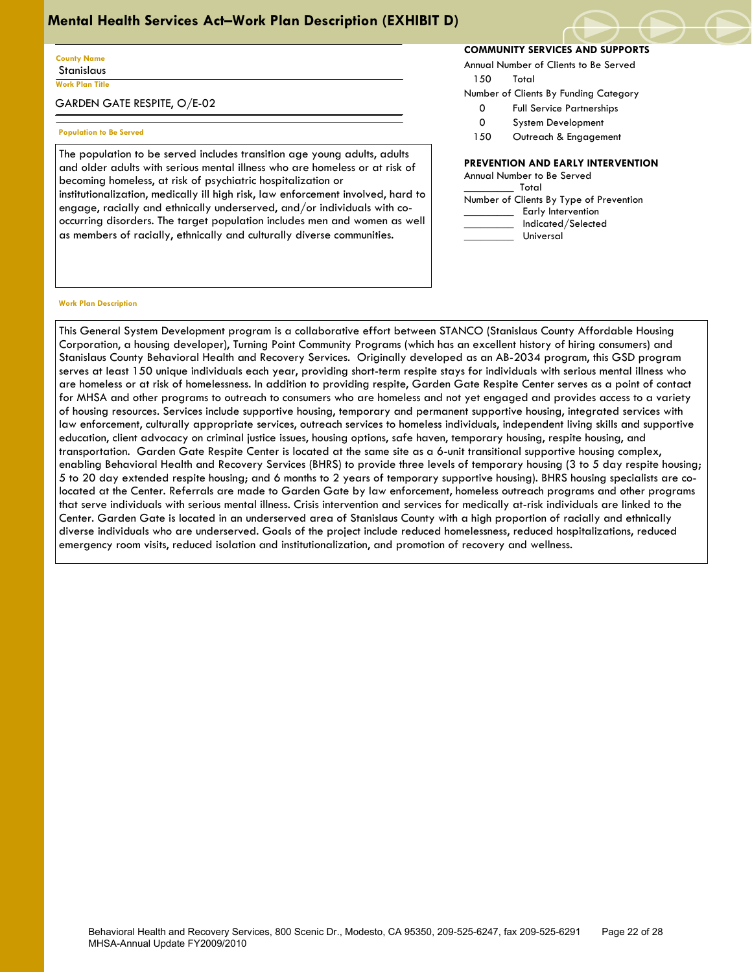#### **County Name** Stanislaus

**Work Plan Title**

 $\overline{\phantom{a}}$ 

GARDEN GATE RESPITE, O/E-02

#### **Population to Be Served**

The population to be served includes transition age young adults, adults and older adults with serious mental illness who are homeless or at risk of becoming homeless, at risk of psychiatric hospitalization or institutionalization, medically ill high risk, law enforcement involved, hard to engage, racially and ethnically underserved, and/or individuals with cooccurring disorders. The target population includes men and women as well as members of racially, ethnically and culturally diverse communities.

## **COMMUNITY SERVICES AND SUPPORTS**

Annual Number of Clients to Be Served

150 Total

- Number of Clients By Funding Category
	- 0 Full Service Partnerships
	- 0 System Development
	- 150 Outreach & Engagement

## **PREVENTION AND EARLY INTERVENTION**

| Annual Number to Be Served              |
|-----------------------------------------|
| Total                                   |
| Number of Clients By Type of Prevention |
| Early Intervention                      |
| Indicated/Selected                      |
| Universal                               |

#### **Work Plan Description**

This General System Development program is a collaborative effort between STANCO (Stanislaus County Affordable Housing Corporation, a housing developer), Turning Point Community Programs (which has an excellent history of hiring consumers) and Stanislaus County Behavioral Health and Recovery Services. Originally developed as an AB-2034 program, this GSD program serves at least 150 unique individuals each year, providing short-term respite stays for individuals with serious mental illness who are homeless or at risk of homelessness. In addition to providing respite, Garden Gate Respite Center serves as a point of contact for MHSA and other programs to outreach to consumers who are homeless and not yet engaged and provides access to a variety of housing resources. Services include supportive housing, temporary and permanent supportive housing, integrated services with law enforcement, culturally appropriate services, outreach services to homeless individuals, independent living skills and supportive education, client advocacy on criminal justice issues, housing options, safe haven, temporary housing, respite housing, and transportation. Garden Gate Respite Center is located at the same site as a 6-unit transitional supportive housing complex, enabling Behavioral Health and Recovery Services (BHRS) to provide three levels of temporary housing (3 to 5 day respite housing; 5 to 20 day extended respite housing; and 6 months to 2 years of temporary supportive housing). BHRS housing specialists are colocated at the Center. Referrals are made to Garden Gate by law enforcement, homeless outreach programs and other programs that serve individuals with serious mental illness. Crisis intervention and services for medically at-risk individuals are linked to the Center. Garden Gate is located in an underserved area of Stanislaus County with a high proportion of racially and ethnically diverse individuals who are underserved. Goals of the project include reduced homelessness, reduced hospitalizations, reduced emergency room visits, reduced isolation and institutionalization, and promotion of recovery and wellness.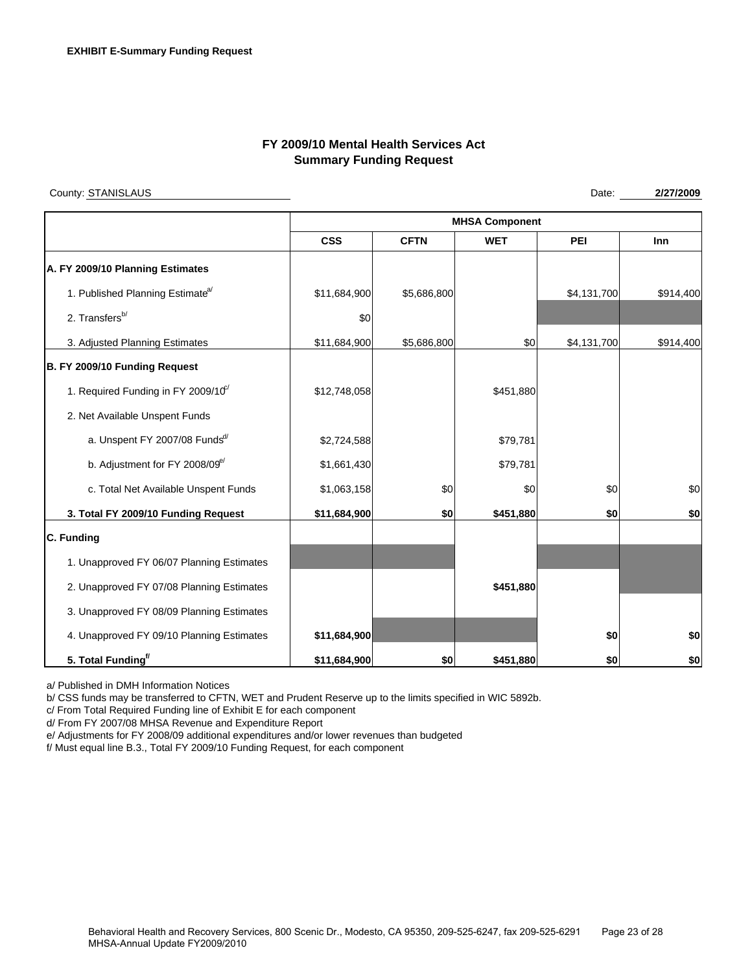## **FY 2009/10 Mental Health Services Act Summary Funding Request**

County: STANISLAUS

Date: **2/27/2009** 

|                                                 | <b>MHSA Component</b> |             |            |             |            |  |  |
|-------------------------------------------------|-----------------------|-------------|------------|-------------|------------|--|--|
|                                                 | <b>CSS</b>            | <b>CFTN</b> | <b>WET</b> | PEI         | <b>Inn</b> |  |  |
| A. FY 2009/10 Planning Estimates                |                       |             |            |             |            |  |  |
| 1. Published Planning Estimate <sup>a/</sup>    | \$11,684,900          | \$5,686,800 |            | \$4,131,700 | \$914,400  |  |  |
| 2. Transfers <sup>b/</sup>                      | \$0                   |             |            |             |            |  |  |
| 3. Adjusted Planning Estimates                  | \$11,684,900          | \$5,686,800 | \$0        | \$4,131,700 | \$914,400  |  |  |
| B. FY 2009/10 Funding Request                   |                       |             |            |             |            |  |  |
| 1. Required Funding in FY 2009/10 <sup>c/</sup> | \$12,748,058          |             | \$451,880  |             |            |  |  |
| 2. Net Available Unspent Funds                  |                       |             |            |             |            |  |  |
| a. Unspent FY 2007/08 Funds <sup>d/</sup>       | \$2,724,588           |             | \$79,781   |             |            |  |  |
| b. Adjustment for FY 2008/09 <sup>e/</sup>      | \$1,661,430           |             | \$79,781   |             |            |  |  |
| c. Total Net Available Unspent Funds            | \$1,063,158           | \$0         | \$0        | \$0         | \$0        |  |  |
| 3. Total FY 2009/10 Funding Request             | \$11,684,900          | \$0         | \$451,880  | \$0         | \$0        |  |  |
| C. Funding                                      |                       |             |            |             |            |  |  |
| 1. Unapproved FY 06/07 Planning Estimates       |                       |             |            |             |            |  |  |
| 2. Unapproved FY 07/08 Planning Estimates       |                       |             | \$451,880  |             |            |  |  |
| 3. Unapproved FY 08/09 Planning Estimates       |                       |             |            |             |            |  |  |
| 4. Unapproved FY 09/10 Planning Estimates       | \$11,684,900          |             |            | \$0         | \$0        |  |  |
| 5. Total Funding <sup>f/</sup>                  | \$11,684,900          | \$0         | \$451,880  | \$0         | \$0        |  |  |

a/ Published in DMH Information Notices

b/ CSS funds may be transferred to CFTN, WET and Prudent Reserve up to the limits specified in WIC 5892b.

c/ From Total Required Funding line of Exhibit E for each component

d/ From FY 2007/08 MHSA Revenue and Expenditure Report

e/ Adjustments for FY 2008/09 additional expenditures and/or lower revenues than budgeted

f/ Must equal line B.3., Total FY 2009/10 Funding Request, for each component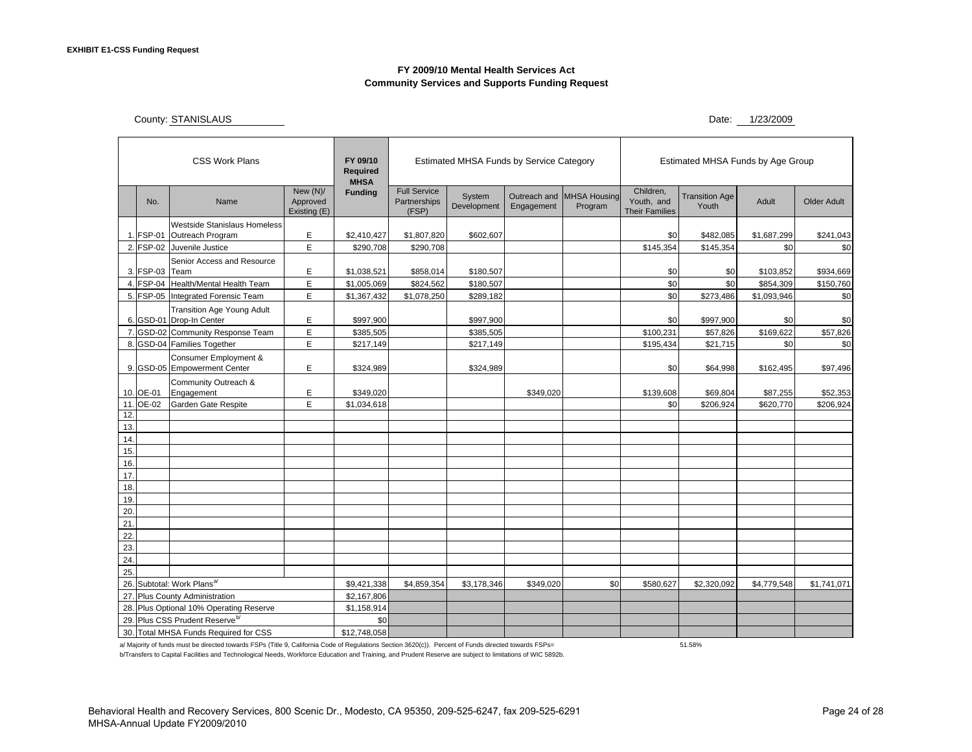## **FY 2009/10 Mental Health Services Act Community Services and Supports Funding Request**

County: STANISLAUS

Date: 1/23/2009

| <b>CSS Work Plans</b>                 |                                        |                                            | FY 09/10<br><b>Required</b><br><b>MHSA</b> | <b>Estimated MHSA Funds by Service Category</b> |                                              |                       |                            | Estimated MHSA Funds by Age Group |                                                  |                                |             |                    |
|---------------------------------------|----------------------------------------|--------------------------------------------|--------------------------------------------|-------------------------------------------------|----------------------------------------------|-----------------------|----------------------------|-----------------------------------|--------------------------------------------------|--------------------------------|-------------|--------------------|
|                                       | No.                                    | Name                                       | New (N)/<br>Approved<br>Existing (E)       | <b>Funding</b>                                  | <b>Full Service</b><br>Partnerships<br>(FSP) | System<br>Development | Outreach and<br>Engagement | <b>MHSA Housing</b><br>Program    | Children.<br>Youth, and<br><b>Their Families</b> | <b>Transition Age</b><br>Youth | Adult       | <b>Older Adult</b> |
|                                       |                                        | <b>Westside Stanislaus Homeless</b>        |                                            |                                                 |                                              |                       |                            |                                   |                                                  |                                |             |                    |
|                                       | 1. FSP-01                              | Outreach Program                           | E                                          | \$2,410,427                                     | \$1,807,820                                  | \$602,607             |                            |                                   | \$0                                              | \$482,085                      | \$1,687,299 | \$241,043          |
|                                       | 2. FSP-02                              | Juvenile Justice                           | E                                          | \$290,708                                       | \$290,708                                    |                       |                            |                                   | \$145,354                                        | \$145,354                      | \$0         | \$0                |
|                                       |                                        | Senior Access and Resource                 |                                            |                                                 |                                              |                       |                            |                                   |                                                  |                                |             |                    |
|                                       | 3. FSP-03 Team                         |                                            | Е                                          | \$1,038,521                                     | \$858,014                                    | \$180,507             |                            |                                   | \$0                                              | \$0                            | \$103,852   | \$934,669          |
|                                       |                                        | 4. FSP-04 Health/Mental Health Team        | E                                          | \$1,005,069                                     | \$824,562                                    | \$180,507             |                            |                                   | \$0                                              | \$0                            | \$854,309   | \$150,760          |
|                                       |                                        | 5. FSP-05 Integrated Forensic Team         | E                                          | \$1,367,432                                     | \$1,078,250                                  | \$289,182             |                            |                                   | \$0                                              | \$273,486                      | \$1,093,946 | \$0                |
|                                       |                                        | <b>Transition Age Young Adult</b>          |                                            |                                                 |                                              |                       |                            |                                   |                                                  |                                |             |                    |
|                                       |                                        | 6. GSD-01 Drop-In Center                   | E                                          | \$997,900                                       |                                              | \$997,900             |                            |                                   | \$0                                              | \$997,900                      | \$0         | \$0                |
|                                       |                                        | 7. GSD-02 Community Response Team          | E                                          | \$385,505                                       |                                              | \$385,505             |                            |                                   | \$100,231                                        | \$57,826                       | \$169,622   | \$57,826           |
|                                       |                                        | 8. GSD-04 Families Together                | E                                          | \$217,149                                       |                                              | \$217,149             |                            |                                   | \$195,434                                        | \$21,715                       | \$0         | \$0                |
|                                       |                                        | Consumer Employment &                      |                                            |                                                 |                                              |                       |                            |                                   |                                                  |                                |             |                    |
|                                       |                                        | 9. GSD-05 Empowerment Center               | E                                          | \$324,989                                       |                                              | \$324,989             |                            |                                   | \$0                                              | \$64,998                       | \$162,495   | \$97,496           |
|                                       |                                        | Community Outreach &                       |                                            |                                                 |                                              |                       |                            |                                   |                                                  |                                |             |                    |
|                                       | 10. OE-01                              | Engagement                                 | E                                          | \$349,020                                       |                                              |                       | \$349,020                  |                                   | \$139,608                                        | \$69,804                       | \$87,255    | \$52,353           |
|                                       | 11. OE-02                              | Garden Gate Respite                        | E                                          | \$1,034,618                                     |                                              |                       |                            |                                   | \$0                                              | \$206,924                      | \$620,770   | \$206,924          |
| 12.                                   |                                        |                                            |                                            |                                                 |                                              |                       |                            |                                   |                                                  |                                |             |                    |
| 13.                                   |                                        |                                            |                                            |                                                 |                                              |                       |                            |                                   |                                                  |                                |             |                    |
| 14.                                   |                                        |                                            |                                            |                                                 |                                              |                       |                            |                                   |                                                  |                                |             |                    |
| 15.                                   |                                        |                                            |                                            |                                                 |                                              |                       |                            |                                   |                                                  |                                |             |                    |
| 16.                                   |                                        |                                            |                                            |                                                 |                                              |                       |                            |                                   |                                                  |                                |             |                    |
| 17.                                   |                                        |                                            |                                            |                                                 |                                              |                       |                            |                                   |                                                  |                                |             |                    |
| 18.                                   |                                        |                                            |                                            |                                                 |                                              |                       |                            |                                   |                                                  |                                |             |                    |
| 19.                                   |                                        |                                            |                                            |                                                 |                                              |                       |                            |                                   |                                                  |                                |             |                    |
| 20.                                   |                                        |                                            |                                            |                                                 |                                              |                       |                            |                                   |                                                  |                                |             |                    |
| 21                                    |                                        |                                            |                                            |                                                 |                                              |                       |                            |                                   |                                                  |                                |             |                    |
| 22.                                   |                                        |                                            |                                            |                                                 |                                              |                       |                            |                                   |                                                  |                                |             |                    |
| 23.                                   |                                        |                                            |                                            |                                                 |                                              |                       |                            |                                   |                                                  |                                |             |                    |
| 24.                                   |                                        |                                            |                                            |                                                 |                                              |                       |                            |                                   |                                                  |                                |             |                    |
| 25.                                   |                                        |                                            |                                            |                                                 |                                              |                       |                            |                                   |                                                  |                                |             |                    |
|                                       | 26. Subtotal: Work Plans <sup>a/</sup> |                                            | \$9,421,338                                | \$4,859,354                                     | \$3,178,346                                  | \$349,020             | \$0                        | \$580,627                         | \$2,320,092                                      | \$4,779,548                    | \$1,741,071 |                    |
|                                       |                                        | 27. Plus County Administration             |                                            | \$2,167,806                                     |                                              |                       |                            |                                   |                                                  |                                |             |                    |
|                                       |                                        | 28. Plus Optional 10% Operating Reserve    |                                            | \$1,158,914                                     |                                              |                       |                            |                                   |                                                  |                                |             |                    |
|                                       |                                        | 29. Plus CSS Prudent Reserve <sup>b/</sup> |                                            | \$0                                             |                                              |                       |                            |                                   |                                                  |                                |             |                    |
| 30. Total MHSA Funds Required for CSS |                                        |                                            | \$12,748,058                               |                                                 |                                              |                       |                            |                                   |                                                  |                                |             |                    |

a/ Majority of funds must be directed towards FSPs (Title 9, California Code of Regulations Section 3620(c)). Percent of Funds directed towards FSPs= 51.58%

b/Transfers to Capital Facilities and Technological Needs, Workforce Education and Training, and Prudent Reserve are subject to limitations of WIC 5892b.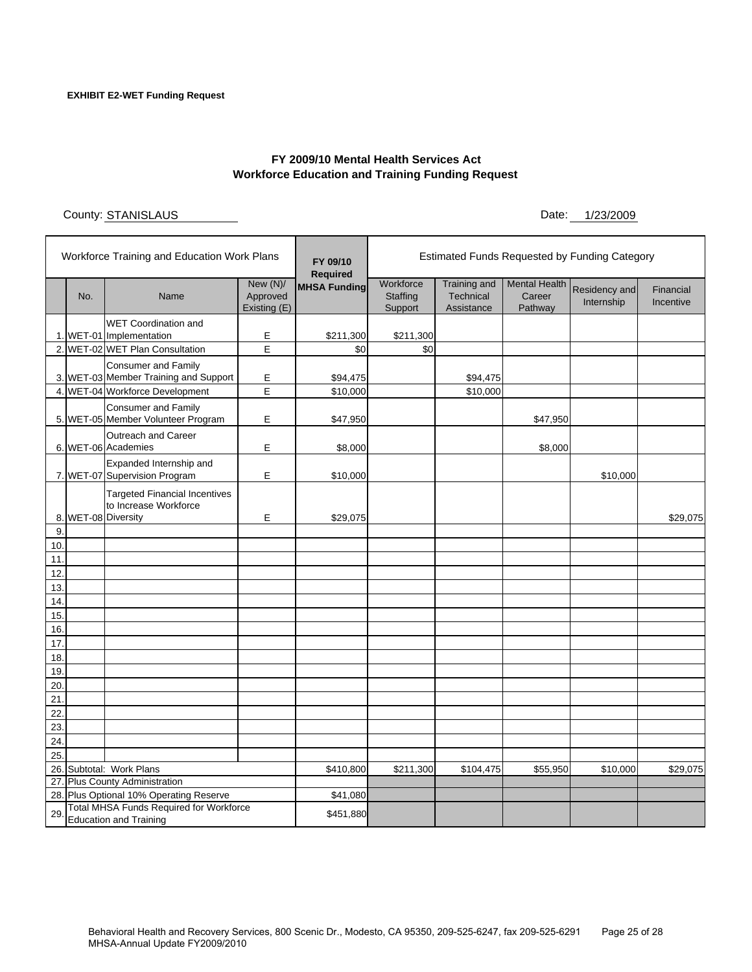## **FY 2009/10 Mental Health Services Act Workforce Education and Training Funding Request**

County: STANISLAUS

STANISLAUS 1/23/2009 Date:

| Workforce Training and Education Work Plans |                                |                                                                                           |                                        | FY 09/10<br><b>Required</b> | Estimated Funds Requested by Funding Category |                                                |                                           |                             |                        |  |
|---------------------------------------------|--------------------------------|-------------------------------------------------------------------------------------------|----------------------------------------|-----------------------------|-----------------------------------------------|------------------------------------------------|-------------------------------------------|-----------------------------|------------------------|--|
|                                             | No.                            | Name                                                                                      | New $(N)/$<br>Approved<br>Existing (E) | <b>MHSA Funding</b>         | Workforce<br>Staffing<br>Support              | <b>Training and</b><br>Technical<br>Assistance | <b>Mental Health</b><br>Career<br>Pathway | Residency and<br>Internship | Financial<br>Incentive |  |
|                                             |                                | <b>WET Coordination and</b><br>1. WET-01 Implementation                                   | Ε                                      | \$211,300                   | \$211,300                                     |                                                |                                           |                             |                        |  |
|                                             |                                | 2. WET-02 WET Plan Consultation                                                           | E                                      | \$0                         | \$0                                           |                                                |                                           |                             |                        |  |
|                                             |                                | <b>Consumer and Family</b><br>3. WET-03 Member Training and Support                       | Е                                      | \$94,475                    |                                               | \$94,475                                       |                                           |                             |                        |  |
|                                             |                                | 4. WET-04 Workforce Development                                                           | E                                      | \$10,000                    |                                               | \$10,000                                       |                                           |                             |                        |  |
|                                             |                                | <b>Consumer and Family</b><br>5. WET-05 Member Volunteer Program                          | Е                                      | \$47,950                    |                                               |                                                | \$47,950                                  |                             |                        |  |
|                                             |                                | Outreach and Career<br>6. WET-06 Academies                                                | Е                                      | \$8,000                     |                                               |                                                | \$8,000                                   |                             |                        |  |
|                                             |                                | Expanded Internship and<br>7. WET-07 Supervision Program                                  | Е                                      | \$10,000                    |                                               |                                                |                                           | \$10,000                    |                        |  |
| 8.                                          |                                | <b>Targeted Financial Incentives</b><br>to Increase Workforce<br>WET-08 Diversity         | Е                                      | \$29,075                    |                                               |                                                |                                           |                             | \$29,075               |  |
| 9                                           |                                |                                                                                           |                                        |                             |                                               |                                                |                                           |                             |                        |  |
| 10.                                         |                                |                                                                                           |                                        |                             |                                               |                                                |                                           |                             |                        |  |
| 11.<br>12.                                  |                                |                                                                                           |                                        |                             |                                               |                                                |                                           |                             |                        |  |
| 13.                                         |                                |                                                                                           |                                        |                             |                                               |                                                |                                           |                             |                        |  |
| 14.                                         |                                |                                                                                           |                                        |                             |                                               |                                                |                                           |                             |                        |  |
| 15.                                         |                                |                                                                                           |                                        |                             |                                               |                                                |                                           |                             |                        |  |
| 16                                          |                                |                                                                                           |                                        |                             |                                               |                                                |                                           |                             |                        |  |
| 17                                          |                                |                                                                                           |                                        |                             |                                               |                                                |                                           |                             |                        |  |
| 18                                          |                                |                                                                                           |                                        |                             |                                               |                                                |                                           |                             |                        |  |
| 19.                                         |                                |                                                                                           |                                        |                             |                                               |                                                |                                           |                             |                        |  |
| 20<br>21                                    |                                |                                                                                           |                                        |                             |                                               |                                                |                                           |                             |                        |  |
| 22                                          |                                |                                                                                           |                                        |                             |                                               |                                                |                                           |                             |                        |  |
| 23                                          |                                |                                                                                           |                                        |                             |                                               |                                                |                                           |                             |                        |  |
| 24                                          |                                |                                                                                           |                                        |                             |                                               |                                                |                                           |                             |                        |  |
| 25                                          |                                |                                                                                           |                                        |                             |                                               |                                                |                                           |                             |                        |  |
|                                             | 26. Subtotal: Work Plans       |                                                                                           |                                        | \$410,800                   | \$211,300                                     | \$104,475                                      | \$55,950                                  | \$10,000                    | \$29,075               |  |
|                                             | 27. Plus County Administration |                                                                                           |                                        |                             |                                               |                                                |                                           |                             |                        |  |
|                                             |                                | 28. Plus Optional 10% Operating Reserve<br><b>Total MHSA Funds Required for Workforce</b> |                                        | \$41,080                    |                                               |                                                |                                           |                             |                        |  |
| 29<br><b>Education and Training</b>         |                                |                                                                                           |                                        | \$451,880                   |                                               |                                                |                                           |                             |                        |  |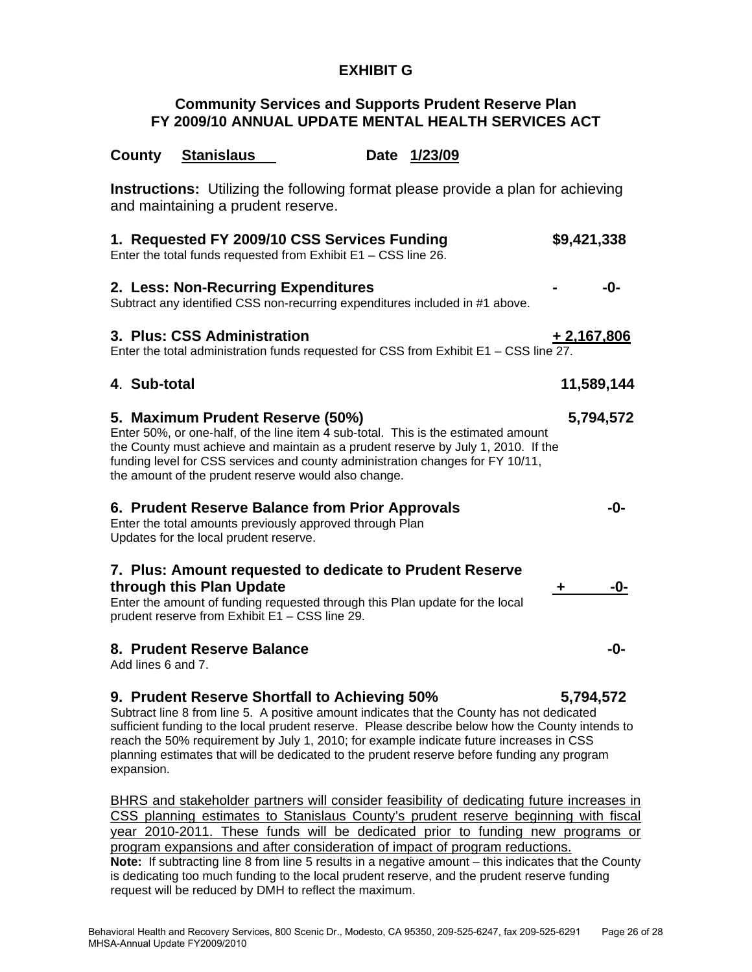# **EXHIBIT G**

## **Community Services and Supports Prudent Reserve Plan FY 2009/10 ANNUAL UPDATE MENTAL HEALTH SERVICES ACT**

County **Stanislaus** Date 1/23/09

| <b>Instructions:</b> Utilizing the following format please provide a plan for achieving<br>and maintaining a prudent reserve.                                                                                                                                                                                                                         |              |
|-------------------------------------------------------------------------------------------------------------------------------------------------------------------------------------------------------------------------------------------------------------------------------------------------------------------------------------------------------|--------------|
| 1. Requested FY 2009/10 CSS Services Funding<br>Enter the total funds requested from Exhibit $E1 - CSS$ line 26.                                                                                                                                                                                                                                      | \$9,421,338  |
| 2. Less: Non-Recurring Expenditures<br>Subtract any identified CSS non-recurring expenditures included in #1 above.                                                                                                                                                                                                                                   | -0-          |
| 3. Plus: CSS Administration<br>Enter the total administration funds requested for CSS from Exhibit E1 - CSS line 27.                                                                                                                                                                                                                                  | $+2,167,806$ |
| 4. Sub-total                                                                                                                                                                                                                                                                                                                                          | 11,589,144   |
| 5. Maximum Prudent Reserve (50%)<br>Enter 50%, or one-half, of the line item 4 sub-total. This is the estimated amount<br>the County must achieve and maintain as a prudent reserve by July 1, 2010. If the<br>funding level for CSS services and county administration changes for FY 10/11,<br>the amount of the prudent reserve would also change. | 5,794,572    |
| 6. Prudent Reserve Balance from Prior Approvals<br>Enter the total amounts previously approved through Plan<br>Updates for the local prudent reserve.                                                                                                                                                                                                 | -0-          |
| 7. Plus: Amount requested to dedicate to Prudent Reserve<br>through this Plan Update<br>Enter the amount of funding requested through this Plan update for the local<br>prudent reserve from Exhibit E1 - CSS line 29.                                                                                                                                | -0-<br>÷     |
| 8. Prudent Reserve Balance<br>Add lines 6 and 7.                                                                                                                                                                                                                                                                                                      | -0-          |
| 9. Prudent Reserve Shortfall to Achieving 50%                                                                                                                                                                                                                                                                                                         | 5,794,572    |

Subtract line 8 from line 5. A positive amount indicates that the County has not dedicated sufficient funding to the local prudent reserve. Please describe below how the County intends to reach the 50% requirement by July 1, 2010; for example indicate future increases in CSS planning estimates that will be dedicated to the prudent reserve before funding any program expansion.

BHRS and stakeholder partners will consider feasibility of dedicating future increases in CSS planning estimates to Stanislaus County's prudent reserve beginning with fiscal year 2010-2011. These funds will be dedicated prior to funding new programs or program expansions and after consideration of impact of program reductions. **Note:** If subtracting line 8 from line 5 results in a negative amount – this indicates that the County is dedicating too much funding to the local prudent reserve, and the prudent reserve funding request will be reduced by DMH to reflect the maximum.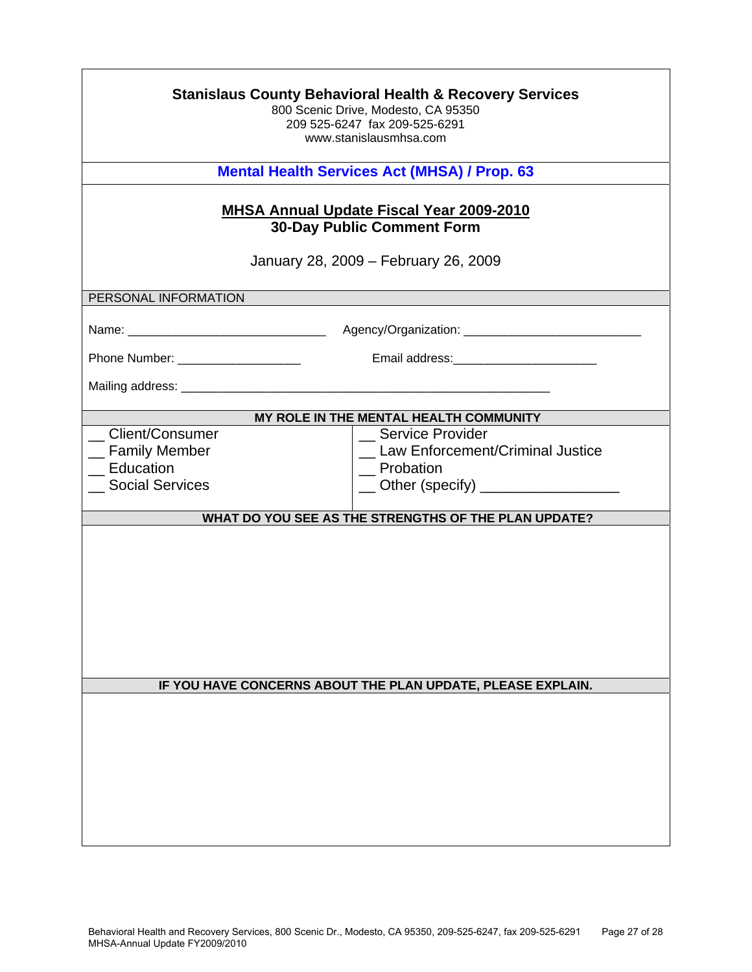| <b>Stanislaus County Behavioral Health &amp; Recovery Services</b><br>800 Scenic Drive, Modesto, CA 95350<br>209 525-6247 fax 209-525-6291<br>www.stanislausmhsa.com |                                                                                                                       |  |
|----------------------------------------------------------------------------------------------------------------------------------------------------------------------|-----------------------------------------------------------------------------------------------------------------------|--|
| <b>Mental Health Services Act (MHSA) / Prop. 63</b>                                                                                                                  |                                                                                                                       |  |
| <b>MHSA Annual Update Fiscal Year 2009-2010</b><br><b>30-Day Public Comment Form</b><br>January 28, 2009 – February 26, 2009                                         |                                                                                                                       |  |
| PERSONAL INFORMATION                                                                                                                                                 |                                                                                                                       |  |
| Phone Number: ____________________                                                                                                                                   |                                                                                                                       |  |
|                                                                                                                                                                      | MY ROLE IN THE MENTAL HEALTH COMMUNITY                                                                                |  |
| Client/Consumer<br>_ Family Member<br>Education<br><b>Social Services</b>                                                                                            | <b>Service Provider</b><br>_ Law Enforcement/Criminal Justice<br>_ Probation<br>__ Other (specify) __________________ |  |
|                                                                                                                                                                      | WHAT DO YOU SEE AS THE STRENGTHS OF THE PLAN UPDATE?                                                                  |  |
|                                                                                                                                                                      |                                                                                                                       |  |
|                                                                                                                                                                      | IF YOU HAVE CONCERNS ABOUT THE PLAN UPDATE, PLEASE EXPLAIN.                                                           |  |
|                                                                                                                                                                      |                                                                                                                       |  |